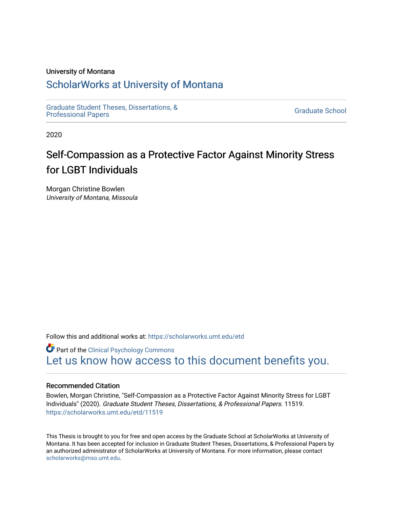#### University of Montana

# [ScholarWorks at University of Montana](https://scholarworks.umt.edu/)

[Graduate Student Theses, Dissertations, &](https://scholarworks.umt.edu/etd) Graduate Student Theses, Dissertations, & Contract Control of the Graduate School [Professional Papers](https://scholarworks.umt.edu/etd) Contract Control of the Contract Control of the Contract Control of the Contract Contract Contract Control of the Contra

2020

# Self-Compassion as a Protective Factor Against Minority Stress for LGBT Individuals

Morgan Christine Bowlen University of Montana, Missoula

Follow this and additional works at: [https://scholarworks.umt.edu/etd](https://scholarworks.umt.edu/etd?utm_source=scholarworks.umt.edu%2Fetd%2F11519&utm_medium=PDF&utm_campaign=PDFCoverPages) 

**Part of the Clinical Psychology Commons** [Let us know how access to this document benefits you.](https://goo.gl/forms/s2rGfXOLzz71qgsB2) 

#### Recommended Citation

Bowlen, Morgan Christine, "Self-Compassion as a Protective Factor Against Minority Stress for LGBT Individuals" (2020). Graduate Student Theses, Dissertations, & Professional Papers. 11519. [https://scholarworks.umt.edu/etd/11519](https://scholarworks.umt.edu/etd/11519?utm_source=scholarworks.umt.edu%2Fetd%2F11519&utm_medium=PDF&utm_campaign=PDFCoverPages) 

This Thesis is brought to you for free and open access by the Graduate School at ScholarWorks at University of Montana. It has been accepted for inclusion in Graduate Student Theses, Dissertations, & Professional Papers by an authorized administrator of ScholarWorks at University of Montana. For more information, please contact [scholarworks@mso.umt.edu.](mailto:scholarworks@mso.umt.edu)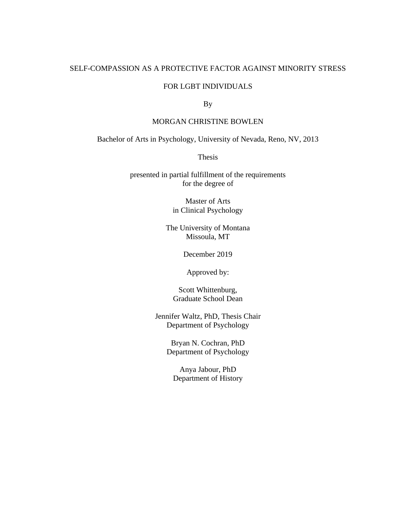### SELF-COMPASSION AS A PROTECTIVE FACTOR AGAINST MINORITY STRESS

### FOR LGBT INDIVIDUALS

By

### MORGAN CHRISTINE BOWLEN

Bachelor of Arts in Psychology, University of Nevada, Reno, NV, 2013

Thesis

presented in partial fulfillment of the requirements for the degree of

> Master of Arts in Clinical Psychology

The University of Montana Missoula, MT

December 2019

Approved by:

Scott Whittenburg, Graduate School Dean

Jennifer Waltz, PhD, Thesis Chair Department of Psychology

> Bryan N. Cochran, PhD Department of Psychology

Anya Jabour, PhD Department of History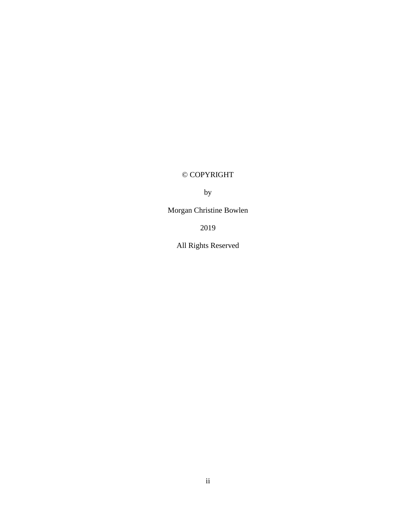# © COPYRIGHT

by

Morgan Christine Bowlen

2019

All Rights Reserved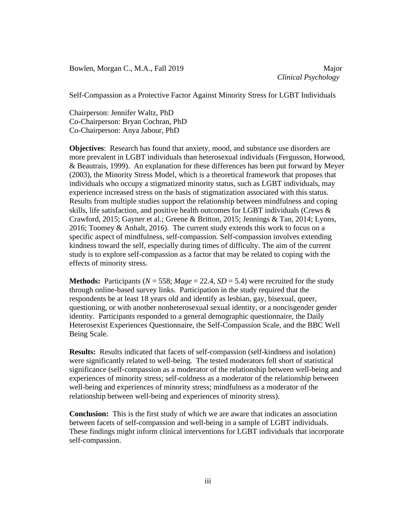Bowlen, Morgan C., M.A., Fall 2019 Major

*Clinical Psychology*

Self-Compassion as a Protective Factor Against Minority Stress for LGBT Individuals

Chairperson: Jennifer Waltz, PhD Co-Chairperson: Bryan Cochran, PhD Co-Chairperson: Anya Jabour, PhD

**Objectives**: Research has found that anxiety, mood, and substance use disorders are more prevalent in LGBT individuals than heterosexual individuals (Fergusson, Horwood, & Beautrais, 1999). An explanation for these differences has been put forward by Meyer (2003), the Minority Stress Model, which is a theoretical framework that proposes that individuals who occupy a stigmatized minority status, such as LGBT individuals, may experience increased stress on the basis of stigmatization associated with this status. Results from multiple studies support the relationship between mindfulness and coping skills, life satisfaction, and positive health outcomes for LGBT individuals (Crews & Crawford, 2015; Gayner et al.; Greene & Britton, 2015; Jennings & Tan, 2014; Lyons, 2016; Toomey & Anhalt, 2016). The current study extends this work to focus on a specific aspect of mindfulness, self-compassion. Self-compassion involves extending kindness toward the self, especially during times of difficulty. The aim of the current study is to explore self-compassion as a factor that may be related to coping with the effects of minority stress.

**Methods:** Participants ( $N = 558$ ; Mage = 22.4, SD = 5.4) were recruited for the study through online-based survey links. Participation in the study required that the respondents be at least 18 years old and identify as lesbian, gay, bisexual, queer, questioning, or with another nonheterosexual sexual identity, or a noncisgender gender identity. Participants responded to a general demographic questionnaire, the Daily Heterosexist Experiences Questionnaire, the Self-Compassion Scale, and the BBC Well Being Scale.

**Results:** Results indicated that facets of self-compassion (self-kindness and isolation) were significantly related to well-being. The tested moderators fell short of statistical significance (self-compassion as a moderator of the relationship between well-being and experiences of minority stress; self-coldness as a moderator of the relationship between well-being and experiences of minority stress; mindfulness as a moderator of the relationship between well-being and experiences of minority stress).

**Conclusion:** This is the first study of which we are aware that indicates an association between facets of self-compassion and well-being in a sample of LGBT individuals. These findings might inform clinical interventions for LGBT individuals that incorporate self-compassion.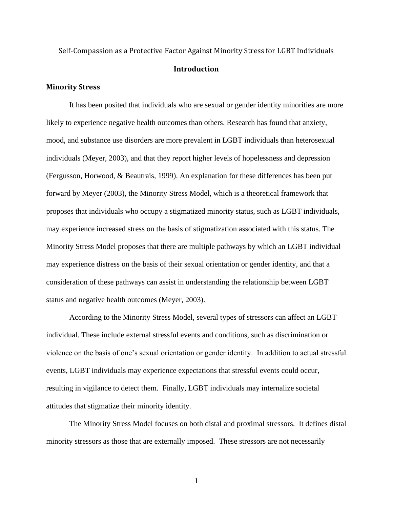# Self-Compassion as a Protective Factor Against Minority Stress for LGBT Individuals **Introduction**

#### **Minority Stress**

It has been posited that individuals who are sexual or gender identity minorities are more likely to experience negative health outcomes than others. Research has found that anxiety, mood, and substance use disorders are more prevalent in LGBT individuals than heterosexual individuals (Meyer, 2003), and that they report higher levels of hopelessness and depression (Fergusson, Horwood, & Beautrais, 1999). An explanation for these differences has been put forward by Meyer (2003), the Minority Stress Model, which is a theoretical framework that proposes that individuals who occupy a stigmatized minority status, such as LGBT individuals, may experience increased stress on the basis of stigmatization associated with this status. The Minority Stress Model proposes that there are multiple pathways by which an LGBT individual may experience distress on the basis of their sexual orientation or gender identity, and that a consideration of these pathways can assist in understanding the relationship between LGBT status and negative health outcomes (Meyer, 2003).

According to the Minority Stress Model, several types of stressors can affect an LGBT individual. These include external stressful events and conditions, such as discrimination or violence on the basis of one's sexual orientation or gender identity. In addition to actual stressful events, LGBT individuals may experience expectations that stressful events could occur, resulting in vigilance to detect them. Finally, LGBT individuals may internalize societal attitudes that stigmatize their minority identity.

The Minority Stress Model focuses on both distal and proximal stressors. It defines distal minority stressors as those that are externally imposed. These stressors are not necessarily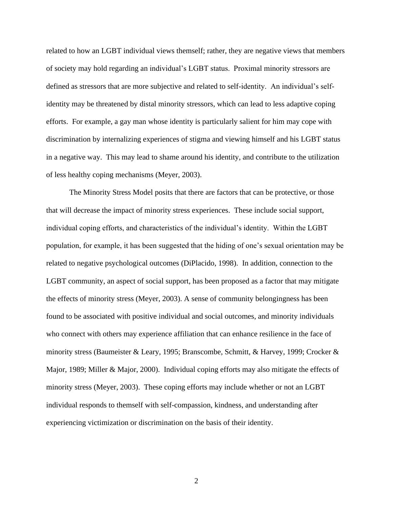related to how an LGBT individual views themself; rather, they are negative views that members of society may hold regarding an individual's LGBT status. Proximal minority stressors are defined as stressors that are more subjective and related to self-identity. An individual's selfidentity may be threatened by distal minority stressors, which can lead to less adaptive coping efforts. For example, a gay man whose identity is particularly salient for him may cope with discrimination by internalizing experiences of stigma and viewing himself and his LGBT status in a negative way. This may lead to shame around his identity, and contribute to the utilization of less healthy coping mechanisms (Meyer, 2003).

The Minority Stress Model posits that there are factors that can be protective, or those that will decrease the impact of minority stress experiences. These include social support, individual coping efforts, and characteristics of the individual's identity. Within the LGBT population, for example, it has been suggested that the hiding of one's sexual orientation may be related to negative psychological outcomes (DiPlacido, 1998). In addition, connection to the LGBT community, an aspect of social support, has been proposed as a factor that may mitigate the effects of minority stress (Meyer, 2003). A sense of community belongingness has been found to be associated with positive individual and social outcomes, and minority individuals who connect with others may experience affiliation that can enhance resilience in the face of minority stress (Baumeister & Leary, 1995; Branscombe, Schmitt, & Harvey, 1999; Crocker & Major, 1989; Miller & Major, 2000). Individual coping efforts may also mitigate the effects of minority stress (Meyer, 2003). These coping efforts may include whether or not an LGBT individual responds to themself with self-compassion, kindness, and understanding after experiencing victimization or discrimination on the basis of their identity.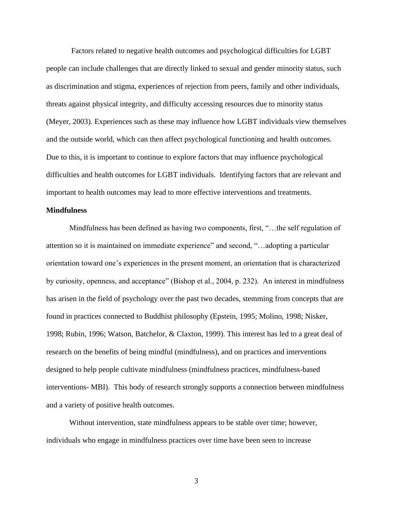Factors related to negative health outcomes and psychological difficulties for LGBT people can include challenges that are directly linked to sexual and gender minority status, such as discrimination and stigma, experiences of rejection from peers, family and other individuals, threats against physical integrity, and difficulty accessing resources due to minority status (Meyer, 2003). Experiences such as these may influence how LGBT individuals view themselves and the outside world, which can then affect psychological functioning and health outcomes. Due to this, it is important to continue to explore factors that may influence psychological difficulties and health outcomes for LGBT individuals. Identifying factors that are relevant and important to health outcomes may lead to more effective interventions and treatments.

### **Mindfulness**

Mindfulness has been defined as having two components, first, "…the self regulation of attention so it is maintained on immediate experience" and second, "…adopting a particular orientation toward one's experiences in the present moment, an orientation that is characterized by curiosity, openness, and acceptance" (Bishop et al., 2004, p. 232). An interest in mindfulness has arisen in the field of psychology over the past two decades, stemming from concepts that are found in practices connected to Buddhist philosophy (Epstein, 1995; Molino, 1998; Nisker, 1998; Rubin, 1996; Watson, Batchelor, & Claxton, 1999). This interest has led to a great deal of research on the benefits of being mindful (mindfulness), and on practices and interventions designed to help people cultivate mindfulness (mindfulness practices, mindfulness-based interventions- MBI). This body of research strongly supports a connection between mindfulness and a variety of positive health outcomes.

Without intervention, state mindfulness appears to be stable over time; however, individuals who engage in mindfulness practices over time have been seen to increase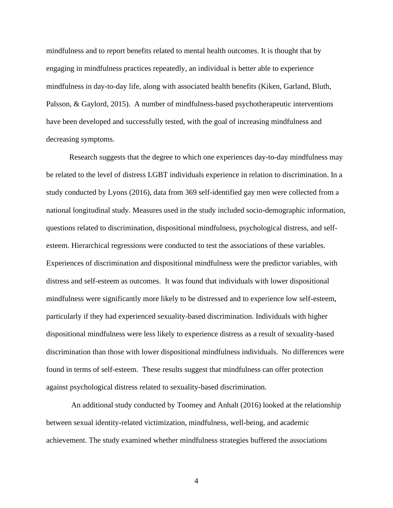mindfulness and to report benefits related to mental health outcomes. It is thought that by engaging in mindfulness practices repeatedly, an individual is better able to experience mindfulness in day-to-day life, along with associated health benefits (Kiken, Garland, Bluth, Palsson, & Gaylord, 2015). A number of mindfulness-based psychotherapeutic interventions have been developed and successfully tested, with the goal of increasing mindfulness and decreasing symptoms.

Research suggests that the degree to which one experiences day-to-day mindfulness may be related to the level of distress LGBT individuals experience in relation to discrimination. In a study conducted by Lyons (2016), data from 369 self-identified gay men were collected from a national longitudinal study. Measures used in the study included socio-demographic information, questions related to discrimination, dispositional mindfulness, psychological distress, and selfesteem. Hierarchical regressions were conducted to test the associations of these variables. Experiences of discrimination and dispositional mindfulness were the predictor variables, with distress and self-esteem as outcomes. It was found that individuals with lower dispositional mindfulness were significantly more likely to be distressed and to experience low self-esteem, particularly if they had experienced sexuality-based discrimination. Individuals with higher dispositional mindfulness were less likely to experience distress as a result of sexuality-based discrimination than those with lower dispositional mindfulness individuals. No differences were found in terms of self-esteem. These results suggest that mindfulness can offer protection against psychological distress related to sexuality-based discrimination.

An additional study conducted by Toomey and Anhalt (2016) looked at the relationship between sexual identity-related victimization, mindfulness, well-being, and academic achievement. The study examined whether mindfulness strategies buffered the associations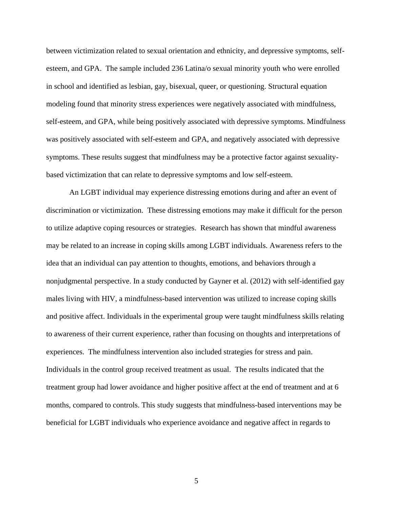between victimization related to sexual orientation and ethnicity, and depressive symptoms, selfesteem, and GPA. The sample included 236 Latina/o sexual minority youth who were enrolled in school and identified as lesbian, gay, bisexual, queer, or questioning. Structural equation modeling found that minority stress experiences were negatively associated with mindfulness, self-esteem, and GPA, while being positively associated with depressive symptoms. Mindfulness was positively associated with self-esteem and GPA, and negatively associated with depressive symptoms. These results suggest that mindfulness may be a protective factor against sexualitybased victimization that can relate to depressive symptoms and low self-esteem.

An LGBT individual may experience distressing emotions during and after an event of discrimination or victimization. These distressing emotions may make it difficult for the person to utilize adaptive coping resources or strategies. Research has shown that mindful awareness may be related to an increase in coping skills among LGBT individuals. Awareness refers to the idea that an individual can pay attention to thoughts, emotions, and behaviors through a nonjudgmental perspective. In a study conducted by Gayner et al. (2012) with self-identified gay males living with HIV, a mindfulness-based intervention was utilized to increase coping skills and positive affect. Individuals in the experimental group were taught mindfulness skills relating to awareness of their current experience, rather than focusing on thoughts and interpretations of experiences. The mindfulness intervention also included strategies for stress and pain. Individuals in the control group received treatment as usual. The results indicated that the treatment group had lower avoidance and higher positive affect at the end of treatment and at 6 months, compared to controls. This study suggests that mindfulness-based interventions may be beneficial for LGBT individuals who experience avoidance and negative affect in regards to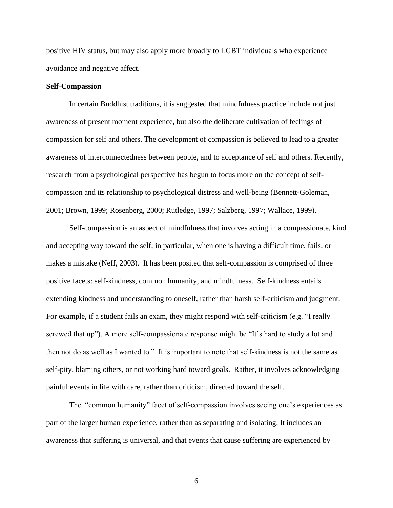positive HIV status, but may also apply more broadly to LGBT individuals who experience avoidance and negative affect.

#### **Self-Compassion**

In certain Buddhist traditions, it is suggested that mindfulness practice include not just awareness of present moment experience, but also the deliberate cultivation of feelings of compassion for self and others. The development of compassion is believed to lead to a greater awareness of interconnectedness between people, and to acceptance of self and others. Recently, research from a psychological perspective has begun to focus more on the concept of selfcompassion and its relationship to psychological distress and well-being (Bennett-Goleman, 2001; Brown, 1999; Rosenberg, 2000; Rutledge, 1997; Salzberg, 1997; Wallace, 1999).

Self-compassion is an aspect of mindfulness that involves acting in a compassionate, kind and accepting way toward the self; in particular, when one is having a difficult time, fails, or makes a mistake (Neff, 2003). It has been posited that self-compassion is comprised of three positive facets: self-kindness, common humanity, and mindfulness. Self-kindness entails extending kindness and understanding to oneself, rather than harsh self-criticism and judgment. For example, if a student fails an exam, they might respond with self-criticism (e.g. "I really screwed that up"). A more self-compassionate response might be "It's hard to study a lot and then not do as well as I wanted to." It is important to note that self-kindness is not the same as self-pity, blaming others, or not working hard toward goals. Rather, it involves acknowledging painful events in life with care, rather than criticism, directed toward the self.

The "common humanity" facet of self-compassion involves seeing one's experiences as part of the larger human experience, rather than as separating and isolating. It includes an awareness that suffering is universal, and that events that cause suffering are experienced by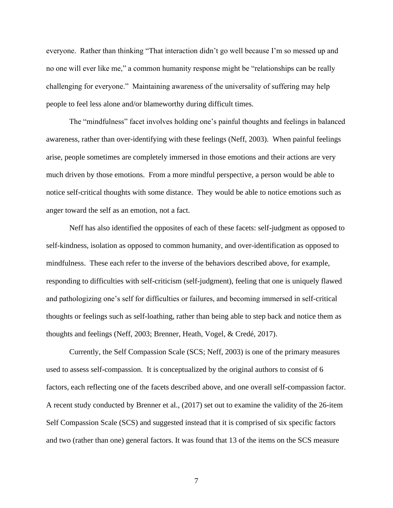everyone. Rather than thinking "That interaction didn't go well because I'm so messed up and no one will ever like me," a common humanity response might be "relationships can be really challenging for everyone." Maintaining awareness of the universality of suffering may help people to feel less alone and/or blameworthy during difficult times.

The "mindfulness" facet involves holding one's painful thoughts and feelings in balanced awareness, rather than over-identifying with these feelings (Neff, 2003). When painful feelings arise, people sometimes are completely immersed in those emotions and their actions are very much driven by those emotions. From a more mindful perspective, a person would be able to notice self-critical thoughts with some distance. They would be able to notice emotions such as anger toward the self as an emotion, not a fact.

Neff has also identified the opposites of each of these facets: self-judgment as opposed to self-kindness, isolation as opposed to common humanity, and over-identification as opposed to mindfulness. These each refer to the inverse of the behaviors described above, for example, responding to difficulties with self-criticism (self-judgment), feeling that one is uniquely flawed and pathologizing one's self for difficulties or failures, and becoming immersed in self-critical thoughts or feelings such as self-loathing, rather than being able to step back and notice them as thoughts and feelings (Neff, 2003; Brenner, Heath, Vogel, & Credé, 2017).

Currently, the Self Compassion Scale (SCS; Neff, 2003) is one of the primary measures used to assess self-compassion. It is conceptualized by the original authors to consist of 6 factors, each reflecting one of the facets described above, and one overall self-compassion factor. A recent study conducted by Brenner et al., (2017) set out to examine the validity of the 26-item Self Compassion Scale (SCS) and suggested instead that it is comprised of six specific factors and two (rather than one) general factors. It was found that 13 of the items on the SCS measure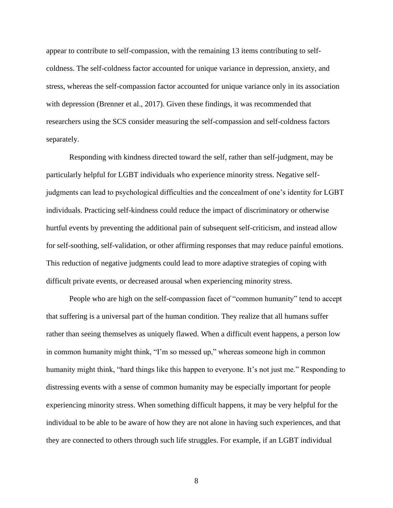appear to contribute to self-compassion, with the remaining 13 items contributing to selfcoldness. The self-coldness factor accounted for unique variance in depression, anxiety, and stress, whereas the self-compassion factor accounted for unique variance only in its association with depression (Brenner et al., 2017). Given these findings, it was recommended that researchers using the SCS consider measuring the self-compassion and self-coldness factors separately.

Responding with kindness directed toward the self, rather than self-judgment, may be particularly helpful for LGBT individuals who experience minority stress. Negative selfjudgments can lead to psychological difficulties and the concealment of one's identity for LGBT individuals. Practicing self-kindness could reduce the impact of discriminatory or otherwise hurtful events by preventing the additional pain of subsequent self-criticism, and instead allow for self-soothing, self-validation, or other affirming responses that may reduce painful emotions. This reduction of negative judgments could lead to more adaptive strategies of coping with difficult private events, or decreased arousal when experiencing minority stress.

People who are high on the self-compassion facet of "common humanity" tend to accept that suffering is a universal part of the human condition. They realize that all humans suffer rather than seeing themselves as uniquely flawed. When a difficult event happens, a person low in common humanity might think, "I'm so messed up," whereas someone high in common humanity might think, "hard things like this happen to everyone. It's not just me." Responding to distressing events with a sense of common humanity may be especially important for people experiencing minority stress. When something difficult happens, it may be very helpful for the individual to be able to be aware of how they are not alone in having such experiences, and that they are connected to others through such life struggles. For example, if an LGBT individual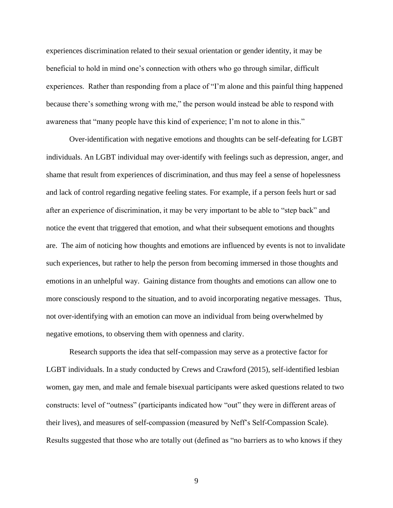experiences discrimination related to their sexual orientation or gender identity, it may be beneficial to hold in mind one's connection with others who go through similar, difficult experiences. Rather than responding from a place of "I'm alone and this painful thing happened because there's something wrong with me," the person would instead be able to respond with awareness that "many people have this kind of experience; I'm not to alone in this."

Over-identification with negative emotions and thoughts can be self-defeating for LGBT individuals. An LGBT individual may over-identify with feelings such as depression, anger, and shame that result from experiences of discrimination, and thus may feel a sense of hopelessness and lack of control regarding negative feeling states. For example, if a person feels hurt or sad after an experience of discrimination, it may be very important to be able to "step back" and notice the event that triggered that emotion, and what their subsequent emotions and thoughts are. The aim of noticing how thoughts and emotions are influenced by events is not to invalidate such experiences, but rather to help the person from becoming immersed in those thoughts and emotions in an unhelpful way. Gaining distance from thoughts and emotions can allow one to more consciously respond to the situation, and to avoid incorporating negative messages. Thus, not over-identifying with an emotion can move an individual from being overwhelmed by negative emotions, to observing them with openness and clarity.

Research supports the idea that self-compassion may serve as a protective factor for LGBT individuals. In a study conducted by Crews and Crawford (2015), self-identified lesbian women, gay men, and male and female bisexual participants were asked questions related to two constructs: level of "outness" (participants indicated how "out" they were in different areas of their lives), and measures of self-compassion (measured by Neff's Self-Compassion Scale). Results suggested that those who are totally out (defined as "no barriers as to who knows if they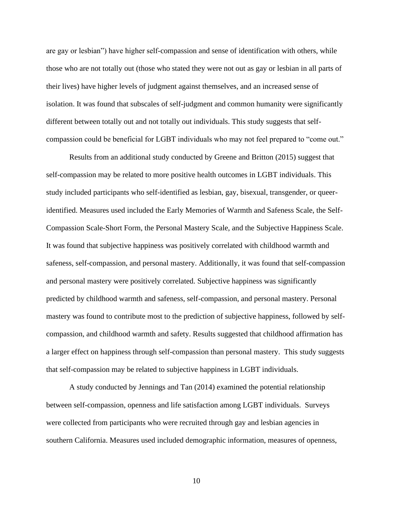are gay or lesbian") have higher self-compassion and sense of identification with others, while those who are not totally out (those who stated they were not out as gay or lesbian in all parts of their lives) have higher levels of judgment against themselves, and an increased sense of isolation. It was found that subscales of self-judgment and common humanity were significantly different between totally out and not totally out individuals. This study suggests that selfcompassion could be beneficial for LGBT individuals who may not feel prepared to "come out."

Results from an additional study conducted by Greene and Britton (2015) suggest that self-compassion may be related to more positive health outcomes in LGBT individuals. This study included participants who self-identified as lesbian, gay, bisexual, transgender, or queeridentified. Measures used included the Early Memories of Warmth and Safeness Scale, the Self-Compassion Scale-Short Form, the Personal Mastery Scale, and the Subjective Happiness Scale. It was found that subjective happiness was positively correlated with childhood warmth and safeness, self-compassion, and personal mastery. Additionally, it was found that self-compassion and personal mastery were positively correlated. Subjective happiness was significantly predicted by childhood warmth and safeness, self-compassion, and personal mastery. Personal mastery was found to contribute most to the prediction of subjective happiness, followed by selfcompassion, and childhood warmth and safety. Results suggested that childhood affirmation has a larger effect on happiness through self-compassion than personal mastery. This study suggests that self-compassion may be related to subjective happiness in LGBT individuals.

A study conducted by Jennings and Tan (2014) examined the potential relationship between self-compassion, openness and life satisfaction among LGBT individuals. Surveys were collected from participants who were recruited through gay and lesbian agencies in southern California. Measures used included demographic information, measures of openness,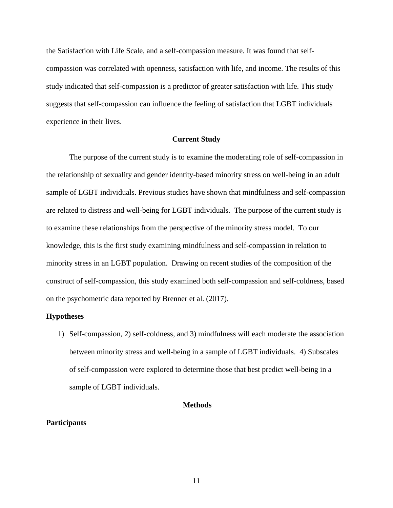the Satisfaction with Life Scale, and a self-compassion measure. It was found that selfcompassion was correlated with openness, satisfaction with life, and income. The results of this study indicated that self-compassion is a predictor of greater satisfaction with life. This study suggests that self-compassion can influence the feeling of satisfaction that LGBT individuals experience in their lives.

#### **Current Study**

The purpose of the current study is to examine the moderating role of self-compassion in the relationship of sexuality and gender identity-based minority stress on well-being in an adult sample of LGBT individuals. Previous studies have shown that mindfulness and self-compassion are related to distress and well-being for LGBT individuals. The purpose of the current study is to examine these relationships from the perspective of the minority stress model. To our knowledge, this is the first study examining mindfulness and self-compassion in relation to minority stress in an LGBT population. Drawing on recent studies of the composition of the construct of self-compassion, this study examined both self-compassion and self-coldness, based on the psychometric data reported by Brenner et al. (2017).

#### **Hypotheses**

1) Self-compassion, 2) self-coldness, and 3) mindfulness will each moderate the association between minority stress and well-being in a sample of LGBT individuals. 4) Subscales of self-compassion were explored to determine those that best predict well-being in a sample of LGBT individuals.

#### **Methods**

#### **Participants**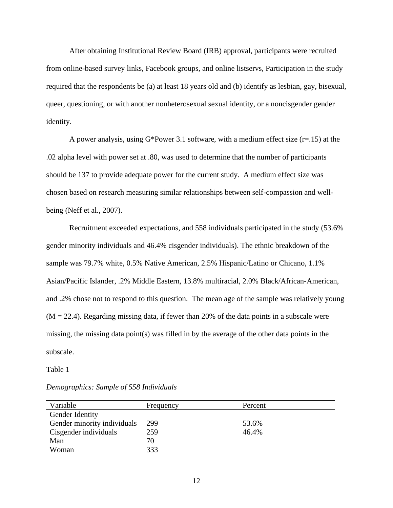After obtaining Institutional Review Board (IRB) approval, participants were recruited from online-based survey links, Facebook groups, and online listservs, Participation in the study required that the respondents be (a) at least 18 years old and (b) identify as lesbian, gay, bisexual, queer, questioning, or with another nonheterosexual sexual identity, or a noncisgender gender identity.

A power analysis, using  $G^*$ Power 3.1 software, with a medium effect size (r=.15) at the .02 alpha level with power set at .80, was used to determine that the number of participants should be 137 to provide adequate power for the current study. A medium effect size was chosen based on research measuring similar relationships between self-compassion and wellbeing (Neff et al., 2007).

Recruitment exceeded expectations, and 558 individuals participated in the study (53.6% gender minority individuals and 46.4% cisgender individuals). The ethnic breakdown of the sample was 79.7% white, 0.5% Native American, 2.5% Hispanic/Latino or Chicano, 1.1% Asian/Pacific Islander, .2% Middle Eastern, 13.8% multiracial, 2.0% Black/African-American, and .2% chose not to respond to this question. The mean age of the sample was relatively young  $(M = 22.4)$ . Regarding missing data, if fewer than 20% of the data points in a subscale were missing, the missing data point(s) was filled in by the average of the other data points in the subscale.

#### Table 1

| Variable                    | Frequency | Percent |
|-----------------------------|-----------|---------|
| Gender Identity             |           |         |
| Gender minority individuals | 299       | 53.6%   |
| Cisgender individuals       | 259       | 46.4%   |
| Man                         | 70        |         |
| Woman                       | 333       |         |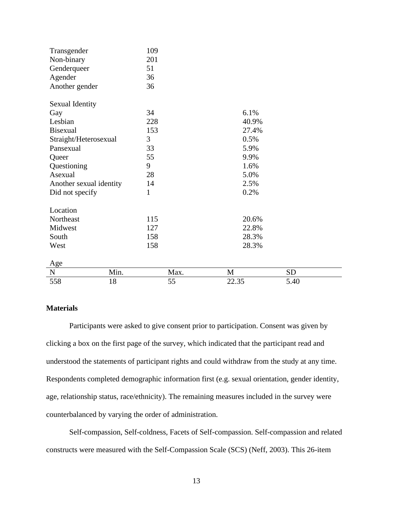| 558                     | 18   | 55   | 22.35        | 5.40      |
|-------------------------|------|------|--------------|-----------|
| ${\bf N}$               | Min. | Max. | $\mathbf{M}$ | <b>SD</b> |
| Age                     |      |      |              |           |
|                         |      |      |              |           |
| West                    |      | 158  | 28.3%        |           |
| South                   |      | 158  | 28.3%        |           |
| Midwest                 |      | 127  | 22.8%        |           |
| Northeast               |      | 115  | 20.6%        |           |
| Location                |      |      |              |           |
| Did not specify         |      | 1    | 0.2%         |           |
| Another sexual identity |      | 14   | 2.5%         |           |
| Asexual                 |      | 28   | 5.0%         |           |
| Questioning             |      | 9    | 1.6%         |           |
| Queer                   |      | 55   | 9.9%         |           |
| Pansexual               |      | 33   | 5.9%         |           |
| Straight/Heterosexual   |      | 3    | 0.5%         |           |
| <b>Bisexual</b>         |      | 153  | 27.4%        |           |
| Lesbian                 |      | 228  | 40.9%        |           |
| Gay                     |      | 34   | 6.1%         |           |
| Sexual Identity         |      |      |              |           |
| Another gender          |      | 36   |              |           |
| Agender                 |      | 36   |              |           |
| Genderqueer             |      | 51   |              |           |
| Non-binary              |      | 201  |              |           |
| Transgender             |      | 109  |              |           |

### **Materials**

Participants were asked to give consent prior to participation. Consent was given by clicking a box on the first page of the survey, which indicated that the participant read and understood the statements of participant rights and could withdraw from the study at any time. Respondents completed demographic information first (e.g. sexual orientation, gender identity, age, relationship status, race/ethnicity). The remaining measures included in the survey were counterbalanced by varying the order of administration.

Self-compassion, Self-coldness, Facets of Self-compassion. Self-compassion and related constructs were measured with the Self-Compassion Scale (SCS) (Neff, 2003). This 26-item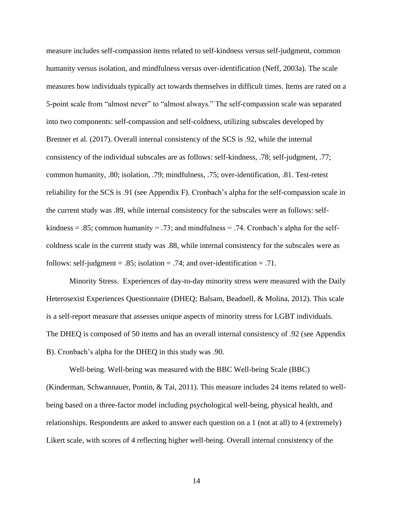measure includes self-compassion items related to self-kindness versus self-judgment, common humanity versus isolation, and mindfulness versus over-identification (Neff, 2003a). The scale measures how individuals typically act towards themselves in difficult times. Items are rated on a 5-point scale from "almost never" to "almost always." The self-compassion scale was separated into two components: self-compassion and self-coldness, utilizing subscales developed by Brenner et al. (2017). Overall internal consistency of the SCS is .92, while the internal consistency of the individual subscales are as follows: self-kindness, .78; self-judgment, .77; common humanity, .80; isolation, .79; mindfulness, .75; over-identification, .81. Test-retest reliability for the SCS is .91 (see Appendix F). Cronbach's alpha for the self-compassion scale in the current study was .89, while internal consistency for the subscales were as follows: selfkindness = .85; common humanity = .73; and mindfulness = .74. Cronbach's alpha for the selfcoldness scale in the current study was .88, while internal consistency for the subscales were as follows: self-judgment =  $.85$ ; isolation =  $.74$ ; and over-identification =  $.71$ .

Minority Stress. Experiences of day-to-day minority stress were measured with the Daily Heterosexist Experiences Questionnaire (DHEQ; Balsam, Beadnell, & Molina, 2012). This scale is a self-report measure that assesses unique aspects of minority stress for LGBT individuals. The DHEQ is composed of 50 items and has an overall internal consistency of .92 (see Appendix B). Cronbach's alpha for the DHEQ in this study was .90.

Well-being. Well-being was measured with the BBC Well-being Scale (BBC) (Kinderman, Schwannauer, Pontin, & Tai, 2011). This measure includes 24 items related to wellbeing based on a three-factor model including psychological well-being, physical health, and relationships. Respondents are asked to answer each question on a 1 (not at all) to 4 (extremely) Likert scale, with scores of 4 reflecting higher well-being. Overall internal consistency of the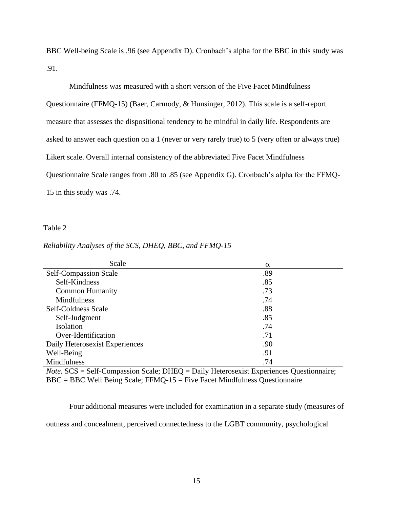BBC Well-being Scale is .96 (see Appendix D). Cronbach's alpha for the BBC in this study was .91.

Mindfulness was measured with a short version of the Five Facet Mindfulness Questionnaire (FFMQ-15) (Baer, Carmody, & Hunsinger, 2012). This scale is a self-report measure that assesses the dispositional tendency to be mindful in daily life. Respondents are asked to answer each question on a 1 (never or very rarely true) to 5 (very often or always true) Likert scale. Overall internal consistency of the abbreviated Five Facet Mindfulness Questionnaire Scale ranges from .80 to .85 (see Appendix G). Cronbach's alpha for the FFMQ-15 in this study was .74.

#### Table 2

| Scale                          | $\alpha$ |
|--------------------------------|----------|
| Self-Compassion Scale          | .89      |
| Self-Kindness                  | .85      |
| <b>Common Humanity</b>         | .73      |
| <b>Mindfulness</b>             | .74      |
| Self-Coldness Scale            | .88      |
| Self-Judgment                  | .85      |
| Isolation                      | .74      |
| Over-Identification            | .71      |
| Daily Heterosexist Experiences | .90      |
| Well-Being                     | .91      |
| Mindfulness                    | .74      |

#### *Reliability Analyses of the SCS, DHEQ, BBC, and FFMQ-15*

*Note.* SCS = Self-Compassion Scale; DHEQ = Daily Heterosexist Experiences Questionnaire; BBC = BBC Well Being Scale; FFMQ-15 = Five Facet Mindfulness Questionnaire

Four additional measures were included for examination in a separate study (measures of

outness and concealment, perceived connectedness to the LGBT community, psychological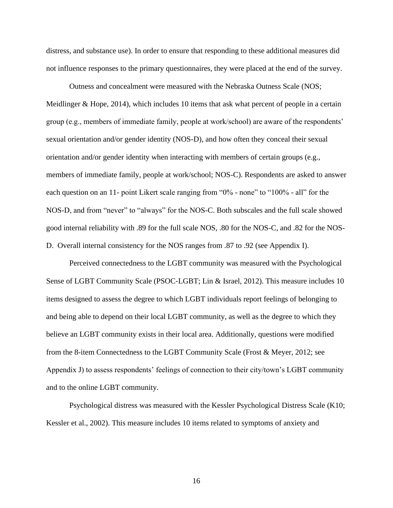distress, and substance use). In order to ensure that responding to these additional measures did not influence responses to the primary questionnaires, they were placed at the end of the survey.

Outness and concealment were measured with the Nebraska Outness Scale (NOS; Meidlinger & Hope, 2014), which includes 10 items that ask what percent of people in a certain group (e.g., members of immediate family, people at work/school) are aware of the respondents' sexual orientation and/or gender identity (NOS-D), and how often they conceal their sexual orientation and/or gender identity when interacting with members of certain groups (e.g., members of immediate family, people at work/school; NOS-C). Respondents are asked to answer each question on an 11- point Likert scale ranging from "0% - none" to "100% - all" for the NOS-D, and from "never" to "always" for the NOS-C. Both subscales and the full scale showed good internal reliability with .89 for the full scale NOS, .80 for the NOS-C, and .82 for the NOS-D. Overall internal consistency for the NOS ranges from .87 to .92 (see Appendix I).

Perceived connectedness to the LGBT community was measured with the Psychological Sense of LGBT Community Scale (PSOC-LGBT; Lin & Israel, 2012). This measure includes 10 items designed to assess the degree to which LGBT individuals report feelings of belonging to and being able to depend on their local LGBT community, as well as the degree to which they believe an LGBT community exists in their local area. Additionally, questions were modified from the 8-item Connectedness to the LGBT Community Scale (Frost & Meyer, 2012; see Appendix J) to assess respondents' feelings of connection to their city/town's LGBT community and to the online LGBT community.

Psychological distress was measured with the Kessler Psychological Distress Scale (K10; Kessler et al., 2002). This measure includes 10 items related to symptoms of anxiety and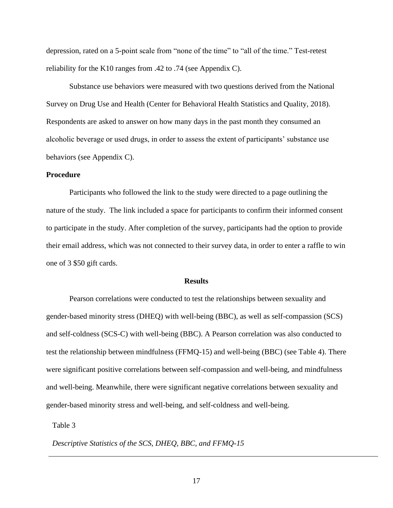depression, rated on a 5-point scale from "none of the time" to "all of the time." Test-retest reliability for the K10 ranges from .42 to .74 (see Appendix C).

Substance use behaviors were measured with two questions derived from the National Survey on Drug Use and Health (Center for Behavioral Health Statistics and Quality, 2018). Respondents are asked to answer on how many days in the past month they consumed an alcoholic beverage or used drugs, in order to assess the extent of participants' substance use behaviors (see Appendix C).

#### **Procedure**

Participants who followed the link to the study were directed to a page outlining the nature of the study. The link included a space for participants to confirm their informed consent to participate in the study. After completion of the survey, participants had the option to provide their email address, which was not connected to their survey data, in order to enter a raffle to win one of 3 \$50 gift cards.

#### **Results**

Pearson correlations were conducted to test the relationships between sexuality and gender-based minority stress (DHEQ) with well-being (BBC), as well as self-compassion (SCS) and self-coldness (SCS-C) with well-being (BBC). A Pearson correlation was also conducted to test the relationship between mindfulness (FFMQ-15) and well-being (BBC) (see Table 4). There were significant positive correlations between self-compassion and well-being, and mindfulness and well-being. Meanwhile, there were significant negative correlations between sexuality and gender-based minority stress and well-being, and self-coldness and well-being.

Table 3

*Descriptive Statistics of the SCS, DHEQ, BBC, and FFMQ-15*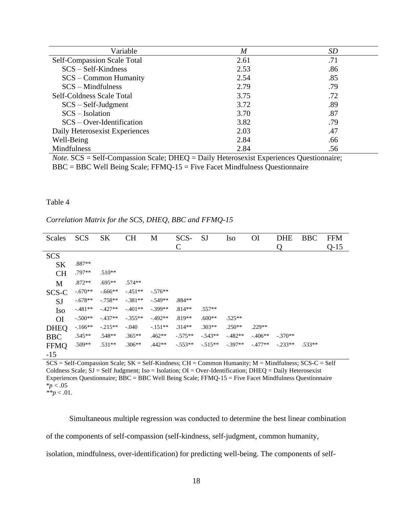| Variable                           | $\boldsymbol{M}$ | SD  |
|------------------------------------|------------------|-----|
| <b>Self-Compassion Scale Total</b> | 2.61             | .71 |
| $SCS - Self-Kindness$              | 2.53             | .86 |
| $SCS - Common Humanity$            | 2.54             | .85 |
| $SCS - Mindfulness$                | 2.79             | .79 |
| Self-Coldness Scale Total          | 3.75             | .72 |
| $SCS - Self-Judgment$              | 3.72             | .89 |
| $SCS - Isolation$                  | 3.70             | .87 |
| $SCS - Over-Hentification$         | 3.82             | .79 |
| Daily Heterosexist Experiences     | 2.03             | .47 |
| Well-Being                         | 2.84             | .66 |
| Mindfulness                        | 2.84             | .56 |

*Note.* SCS = Self-Compassion Scale; DHEQ = Daily Heterosexist Experiences Questionnaire; BBC = BBC Well Being Scale; FFMQ-15 = Five Facet Mindfulness Questionnaire

#### Table 4

### *Correlation Matrix for the SCS, DHEQ, BBC and FFMQ-15*

| Scales               | <b>SCS</b> | <b>SK</b> | <b>CH</b> | M         | SCS-      | <b>SJ</b> | <b>Iso</b> | <b>OI</b>  | <b>DHE</b> | <b>BBC</b> | <b>FFM</b> |
|----------------------|------------|-----------|-----------|-----------|-----------|-----------|------------|------------|------------|------------|------------|
|                      |            |           |           |           | C         |           |            |            | ( )        |            | $Q-15$     |
| <b>SCS</b>           |            |           |           |           |           |           |            |            |            |            |            |
| <b>SK</b>            | $.887**$   |           |           |           |           |           |            |            |            |            |            |
| <b>CH</b>            | .797**     | $.510**$  |           |           |           |           |            |            |            |            |            |
| M                    | $.872**$   | $.695**$  | $.574**$  |           |           |           |            |            |            |            |            |
| SCS-C                | $-.670**$  | $-.666**$ | $-.451**$ | $-.576**$ |           |           |            |            |            |            |            |
| <b>SJ</b>            | $-.678**$  | $-.758**$ | $-.381**$ | $-.549**$ | $.884**$  |           |            |            |            |            |            |
| <b>Iso</b>           | $-481**$   | $-.427**$ | $-.401**$ | $-.399**$ | $.814**$  | $.557**$  |            |            |            |            |            |
| O <sub>I</sub>       | $-.500**$  | $-437**$  | $-.355**$ | $-.492**$ | $.819**$  | $.600**$  | $.525**$   |            |            |            |            |
| <b>DHEQ</b>          | $-166**$   | $-.215**$ | $-.040$   | $-.151**$ | $.314**$  | $.303**$  | $.250**$   | $.229**$   |            |            |            |
| <b>BBC</b>           | $.545**$   | $.548**$  | $.365**$  | $.462**$  | $-.575**$ | $-.543**$ | $-0.482**$ | $-0.406**$ | $-.370**$  |            |            |
| <b>FFMQ</b><br>$-15$ | $.509**$   | $.531**$  | $.306**$  | .442**    | $-.553**$ | $-.515**$ | $-.397**$  | $-.477**$  | $-.233**$  | $.533**$   |            |

 $SCS = Self-Compassion Scale; SK = Self-Kindness; CH = Common Humanity; M = Mindfulness; SCS-C = Self$ Coldness Scale; SJ = Self Judgment; Iso = Isolation; OI = Over-Identification; DHEQ = Daily Heterosexist Experiences Questionnaire; BBC = BBC Well Being Scale; FFMQ-15 = Five Facet Mindfulness Questionnaire  $*_{p}$  < .05

Simultaneous multiple regression was conducted to determine the best linear combination

of the components of self-compassion (self-kindness, self-judgment, common humanity,

isolation, mindfulness, over-identification) for predicting well-being. The components of self-

 $*^*p < .01$ .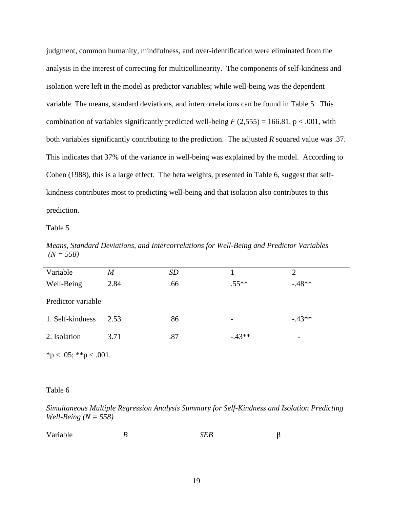judgment, common humanity, mindfulness, and over-identification were eliminated from the analysis in the interest of correcting for multicollinearity. The components of self-kindness and isolation were left in the model as predictor variables; while well-being was the dependent variable. The means, standard deviations, and intercorrelations can be found in Table 5. This combination of variables significantly predicted well-being  $F(2,555) = 166.81$ , p < .001, with both variables significantly contributing to the prediction. The adjusted *R* squared value was .37. This indicates that 37% of the variance in well-being was explained by the model. According to Cohen (1988), this is a large effect. The beta weights, presented in Table 6, suggest that selfkindness contributes most to predicting well-being and that isolation also contributes to this prediction.

Table 5

*Means, Standard Deviations, and Intercorrelations for Well-Being and Predictor Variables (N = 558)*

| Variable           | M    | <b>SD</b> |         | 2                        |
|--------------------|------|-----------|---------|--------------------------|
| Well-Being         | 2.84 | .66       | $.55**$ | $-48**$                  |
| Predictor variable |      |           |         |                          |
| 1. Self-kindness   | 2.53 | .86       | -       | $-43**$                  |
| 2. Isolation       | 3.71 | .87       | $-43**$ | $\overline{\phantom{0}}$ |

 $*<sub>p</sub> < .05; **<sub>p</sub> < .001.$ 

#### Table 6

*Simultaneous Multiple Regression Analysis Summary for Self-Kindness and Isolation Predicting Well-Being (N = 558)*

| . | -- | $- -$ |  |
|---|----|-------|--|
|   |    |       |  |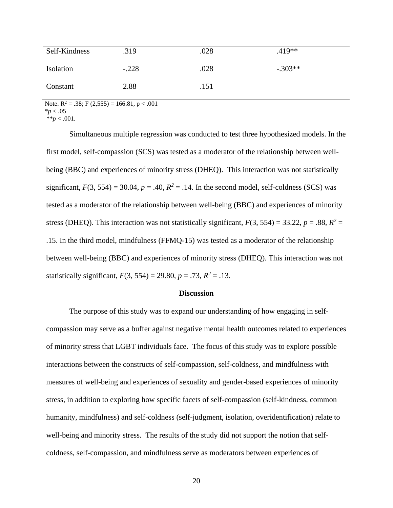| Self-Kindness    | .319    | .028 | $.419**$  |
|------------------|---------|------|-----------|
| <b>Isolation</b> | $-.228$ | .028 | $-.303**$ |
| Constant         | 2.88    | .151 |           |

*\*\*p* < .001. Note.  $R^2 = .38$ ; F (2,555) = 166.81, p < .001 \**p* < .05

Simultaneous multiple regression was conducted to test three hypothesized models. In the first model, self-compassion (SCS) was tested as a moderator of the relationship between wellbeing (BBC) and experiences of minority stress (DHEQ). This interaction was not statistically significant,  $F(3, 554) = 30.04$ ,  $p = .40$ ,  $R^2 = .14$ . In the second model, self-coldness (SCS) was tested as a moderator of the relationship between well-being (BBC) and experiences of minority stress (DHEQ). This interaction was not statistically significant,  $F(3, 554) = 33.22$ ,  $p = .88$ ,  $R^2 =$ .15. In the third model, mindfulness (FFMQ-15) was tested as a moderator of the relationship between well-being (BBC) and experiences of minority stress (DHEQ). This interaction was not statistically significant,  $F(3, 554) = 29.80, p = .73, R^2 = .13$ .

#### **Discussion**

The purpose of this study was to expand our understanding of how engaging in selfcompassion may serve as a buffer against negative mental health outcomes related to experiences of minority stress that LGBT individuals face. The focus of this study was to explore possible interactions between the constructs of self-compassion, self-coldness, and mindfulness with measures of well-being and experiences of sexuality and gender-based experiences of minority stress, in addition to exploring how specific facets of self-compassion (self-kindness, common humanity, mindfulness) and self-coldness (self-judgment, isolation, overidentification) relate to well-being and minority stress. The results of the study did not support the notion that selfcoldness, self-compassion, and mindfulness serve as moderators between experiences of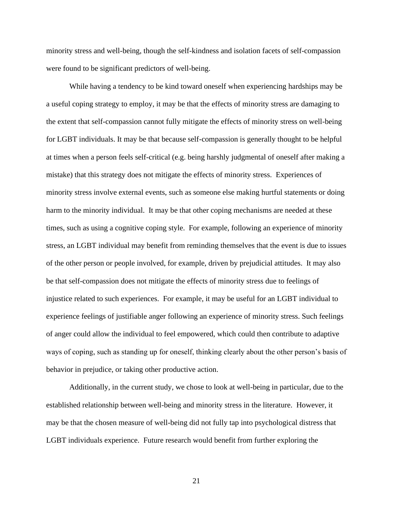minority stress and well-being, though the self-kindness and isolation facets of self-compassion were found to be significant predictors of well-being.

While having a tendency to be kind toward oneself when experiencing hardships may be a useful coping strategy to employ, it may be that the effects of minority stress are damaging to the extent that self-compassion cannot fully mitigate the effects of minority stress on well-being for LGBT individuals. It may be that because self-compassion is generally thought to be helpful at times when a person feels self-critical (e.g. being harshly judgmental of oneself after making a mistake) that this strategy does not mitigate the effects of minority stress. Experiences of minority stress involve external events, such as someone else making hurtful statements or doing harm to the minority individual. It may be that other coping mechanisms are needed at these times, such as using a cognitive coping style. For example, following an experience of minority stress, an LGBT individual may benefit from reminding themselves that the event is due to issues of the other person or people involved, for example, driven by prejudicial attitudes. It may also be that self-compassion does not mitigate the effects of minority stress due to feelings of injustice related to such experiences. For example, it may be useful for an LGBT individual to experience feelings of justifiable anger following an experience of minority stress. Such feelings of anger could allow the individual to feel empowered, which could then contribute to adaptive ways of coping, such as standing up for oneself, thinking clearly about the other person's basis of behavior in prejudice, or taking other productive action.

Additionally, in the current study, we chose to look at well-being in particular, due to the established relationship between well-being and minority stress in the literature. However, it may be that the chosen measure of well-being did not fully tap into psychological distress that LGBT individuals experience. Future research would benefit from further exploring the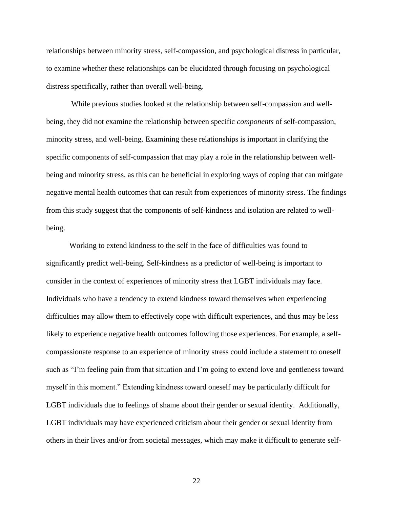relationships between minority stress, self-compassion, and psychological distress in particular, to examine whether these relationships can be elucidated through focusing on psychological distress specifically, rather than overall well-being.

While previous studies looked at the relationship between self-compassion and wellbeing, they did not examine the relationship between specific *components* of self-compassion, minority stress, and well-being. Examining these relationships is important in clarifying the specific components of self-compassion that may play a role in the relationship between wellbeing and minority stress, as this can be beneficial in exploring ways of coping that can mitigate negative mental health outcomes that can result from experiences of minority stress. The findings from this study suggest that the components of self-kindness and isolation are related to wellbeing.

Working to extend kindness to the self in the face of difficulties was found to significantly predict well-being. Self-kindness as a predictor of well-being is important to consider in the context of experiences of minority stress that LGBT individuals may face. Individuals who have a tendency to extend kindness toward themselves when experiencing difficulties may allow them to effectively cope with difficult experiences, and thus may be less likely to experience negative health outcomes following those experiences. For example, a selfcompassionate response to an experience of minority stress could include a statement to oneself such as "I'm feeling pain from that situation and I'm going to extend love and gentleness toward myself in this moment." Extending kindness toward oneself may be particularly difficult for LGBT individuals due to feelings of shame about their gender or sexual identity. Additionally, LGBT individuals may have experienced criticism about their gender or sexual identity from others in their lives and/or from societal messages, which may make it difficult to generate self-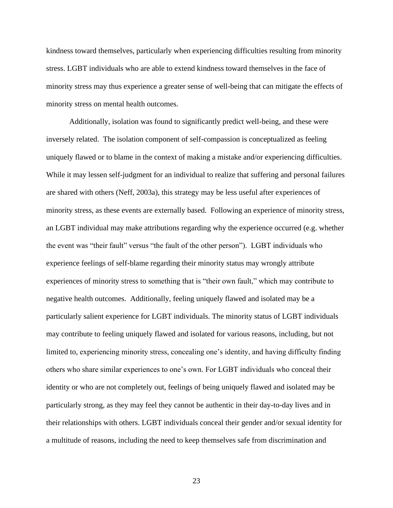kindness toward themselves, particularly when experiencing difficulties resulting from minority stress. LGBT individuals who are able to extend kindness toward themselves in the face of minority stress may thus experience a greater sense of well-being that can mitigate the effects of minority stress on mental health outcomes.

Additionally, isolation was found to significantly predict well-being, and these were inversely related. The isolation component of self-compassion is conceptualized as feeling uniquely flawed or to blame in the context of making a mistake and/or experiencing difficulties. While it may lessen self-judgment for an individual to realize that suffering and personal failures are shared with others (Neff, 2003a), this strategy may be less useful after experiences of minority stress, as these events are externally based. Following an experience of minority stress, an LGBT individual may make attributions regarding why the experience occurred (e.g. whether the event was "their fault" versus "the fault of the other person"). LGBT individuals who experience feelings of self-blame regarding their minority status may wrongly attribute experiences of minority stress to something that is "their own fault," which may contribute to negative health outcomes. Additionally, feeling uniquely flawed and isolated may be a particularly salient experience for LGBT individuals. The minority status of LGBT individuals may contribute to feeling uniquely flawed and isolated for various reasons, including, but not limited to, experiencing minority stress, concealing one's identity, and having difficulty finding others who share similar experiences to one's own. For LGBT individuals who conceal their identity or who are not completely out, feelings of being uniquely flawed and isolated may be particularly strong, as they may feel they cannot be authentic in their day-to-day lives and in their relationships with others. LGBT individuals conceal their gender and/or sexual identity for a multitude of reasons, including the need to keep themselves safe from discrimination and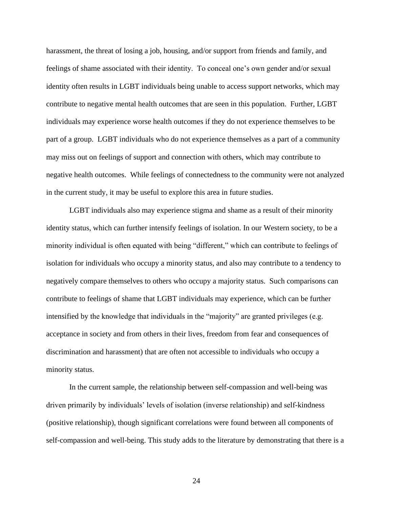harassment, the threat of losing a job, housing, and/or support from friends and family, and feelings of shame associated with their identity. To conceal one's own gender and/or sexual identity often results in LGBT individuals being unable to access support networks, which may contribute to negative mental health outcomes that are seen in this population. Further, LGBT individuals may experience worse health outcomes if they do not experience themselves to be part of a group. LGBT individuals who do not experience themselves as a part of a community may miss out on feelings of support and connection with others, which may contribute to negative health outcomes. While feelings of connectedness to the community were not analyzed in the current study, it may be useful to explore this area in future studies.

LGBT individuals also may experience stigma and shame as a result of their minority identity status, which can further intensify feelings of isolation. In our Western society, to be a minority individual is often equated with being "different," which can contribute to feelings of isolation for individuals who occupy a minority status, and also may contribute to a tendency to negatively compare themselves to others who occupy a majority status. Such comparisons can contribute to feelings of shame that LGBT individuals may experience, which can be further intensified by the knowledge that individuals in the "majority" are granted privileges (e.g. acceptance in society and from others in their lives, freedom from fear and consequences of discrimination and harassment) that are often not accessible to individuals who occupy a minority status.

In the current sample, the relationship between self-compassion and well-being was driven primarily by individuals' levels of isolation (inverse relationship) and self-kindness (positive relationship), though significant correlations were found between all components of self-compassion and well-being. This study adds to the literature by demonstrating that there is a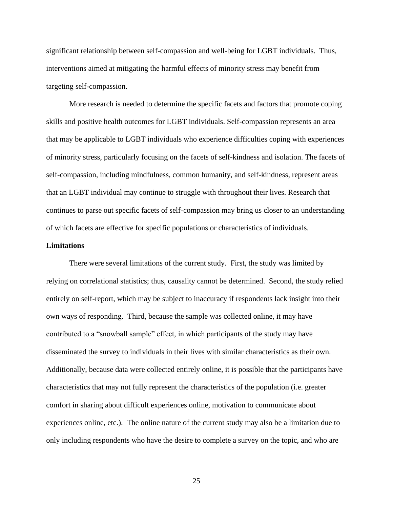significant relationship between self-compassion and well-being for LGBT individuals. Thus, interventions aimed at mitigating the harmful effects of minority stress may benefit from targeting self-compassion.

More research is needed to determine the specific facets and factors that promote coping skills and positive health outcomes for LGBT individuals. Self-compassion represents an area that may be applicable to LGBT individuals who experience difficulties coping with experiences of minority stress, particularly focusing on the facets of self-kindness and isolation. The facets of self-compassion, including mindfulness, common humanity, and self-kindness, represent areas that an LGBT individual may continue to struggle with throughout their lives. Research that continues to parse out specific facets of self-compassion may bring us closer to an understanding of which facets are effective for specific populations or characteristics of individuals.

#### **Limitations**

There were several limitations of the current study. First, the study was limited by relying on correlational statistics; thus, causality cannot be determined. Second, the study relied entirely on self-report, which may be subject to inaccuracy if respondents lack insight into their own ways of responding. Third, because the sample was collected online, it may have contributed to a "snowball sample" effect, in which participants of the study may have disseminated the survey to individuals in their lives with similar characteristics as their own. Additionally, because data were collected entirely online, it is possible that the participants have characteristics that may not fully represent the characteristics of the population (i.e. greater comfort in sharing about difficult experiences online, motivation to communicate about experiences online, etc.). The online nature of the current study may also be a limitation due to only including respondents who have the desire to complete a survey on the topic, and who are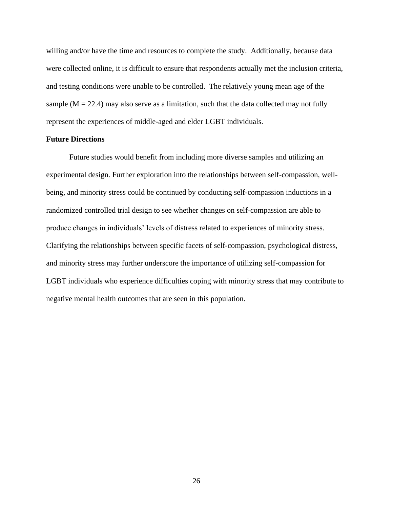willing and/or have the time and resources to complete the study. Additionally, because data were collected online, it is difficult to ensure that respondents actually met the inclusion criteria, and testing conditions were unable to be controlled. The relatively young mean age of the sample  $(M = 22.4)$  may also serve as a limitation, such that the data collected may not fully represent the experiences of middle-aged and elder LGBT individuals.

#### **Future Directions**

Future studies would benefit from including more diverse samples and utilizing an experimental design. Further exploration into the relationships between self-compassion, wellbeing, and minority stress could be continued by conducting self-compassion inductions in a randomized controlled trial design to see whether changes on self-compassion are able to produce changes in individuals' levels of distress related to experiences of minority stress. Clarifying the relationships between specific facets of self-compassion, psychological distress, and minority stress may further underscore the importance of utilizing self-compassion for LGBT individuals who experience difficulties coping with minority stress that may contribute to negative mental health outcomes that are seen in this population.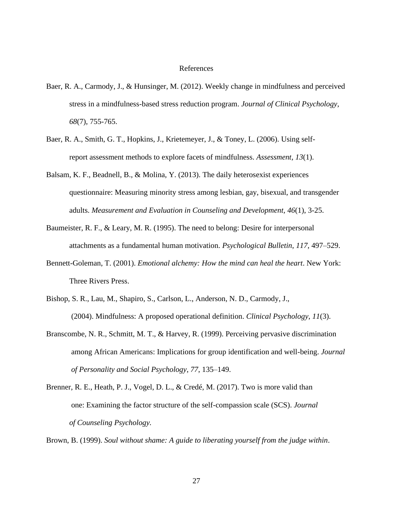#### References

- Baer, R. A., Carmody, J., & Hunsinger, M. (2012). Weekly change in mindfulness and perceived stress in a mindfulness-based stress reduction program. *Journal of Clinical Psychology*, *68*(7), 755-765.
- Baer, R. A., Smith, G. T., Hopkins, J., Krietemeyer, J., & Toney, L. (2006). Using selfreport assessment methods to explore facets of mindfulness. *Assessment, 13*(1).
- Balsam, K. F., Beadnell, B., & Molina, Y. (2013). The daily heterosexist experiences questionnaire: Measuring minority stress among lesbian, gay, bisexual, and transgender adults. *Measurement and Evaluation in Counseling and Development, 46*(1), 3-25.
- Baumeister, R. F., & Leary, M. R. (1995). The need to belong: Desire for interpersonal attachments as a fundamental human motivation. *Psychological Bulletin*, *117*, 497–529.
- Bennett-Goleman, T. (2001). *Emotional alchemy: How the mind can heal the heart*. New York: Three Rivers Press.
- Bishop, S. R., Lau, M., Shapiro, S., Carlson, L., Anderson, N. D., Carmody, J., (2004). Mindfulness: A proposed operational definition. *Clinical Psychology*, *11*(3).
- Branscombe, N. R., Schmitt, M. T., & Harvey, R. (1999). Perceiving pervasive discrimination among African Americans: Implications for group identification and well-being. *Journal of Personality and Social Psychology*, *77*, 135–149.
- Brenner, R. E., Heath, P. J., Vogel, D. L., & Credé, M. (2017). Two is more valid than one: Examining the factor structure of the self-compassion scale (SCS). *Journal of Counseling Psychology.*

Brown, B. (1999). *Soul without shame: A guide to liberating yourself from the judge within*.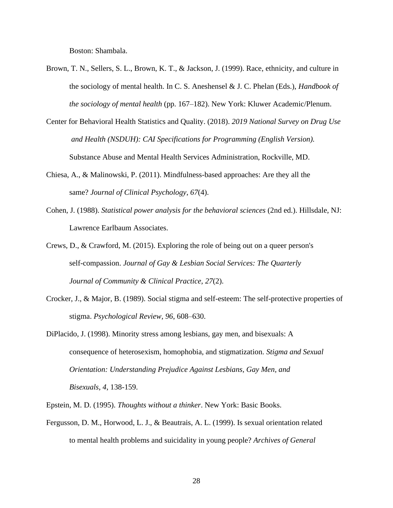Boston: Shambala.

- Brown, T. N., Sellers, S. L., Brown, K. T., & Jackson, J. (1999). Race, ethnicity, and culture in the sociology of mental health. In C. S. Aneshensel & J. C. Phelan (Eds.), *Handbook of the sociology of mental health* (pp. 167–182). New York: Kluwer Academic/Plenum.
- Center for Behavioral Health Statistics and Quality. (2018). *2019 National Survey on Drug Use and Health (NSDUH): CAI Specifications for Programming (English Version).*  Substance Abuse and Mental Health Services Administration, Rockville, MD.
- Chiesa, A., & Malinowski, P. (2011). Mindfulness-based approaches: Are they all the same? *Journal of Clinical Psychology*, *67*(4).
- Cohen, J. (1988). *Statistical power analysis for the behavioral sciences* (2nd ed.). Hillsdale, NJ: Lawrence Earlbaum Associates.
- Crews, D., & Crawford, M. (2015). Exploring the role of being out on a queer person's self-compassion. *Journal of Gay & Lesbian Social Services: The Quarterly Journal of Community & Clinical Practice, 27*(2).
- Crocker, J., & Major, B. (1989). Social stigma and self-esteem: The self-protective properties of stigma. *Psychological Review*, *96*, 608–630.
- DiPlacido, J. (1998). Minority stress among lesbians, gay men, and bisexuals: A consequence of heterosexism, homophobia, and stigmatization. *Stigma and Sexual Orientation: Understanding Prejudice Against Lesbians, Gay Men, and Bisexuals*, *4*, 138-159.
- Epstein, M. D. (1995). *Thoughts without a thinker*. New York: Basic Books.
- Fergusson, D. M., Horwood, L. J., & Beautrais, A. L. (1999). Is sexual orientation related to mental health problems and suicidality in young people? *Archives of General*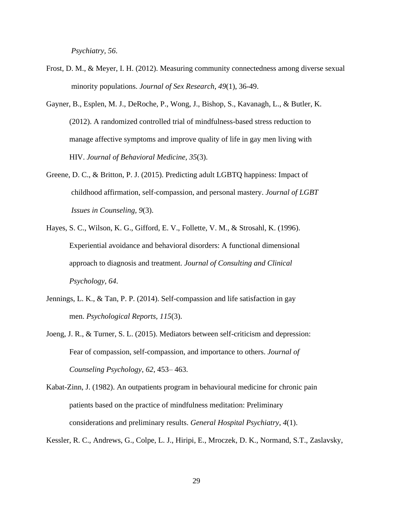*Psychiatry, 56*.

- Frost, D. M., & Meyer, I. H. (2012). Measuring community connectedness among diverse sexual minority populations. *Journal of Sex Research*, *49*(1), 36-49.
- Gayner, B., Esplen, M. J., DeRoche, P., Wong, J., Bishop, S., Kavanagh, L., & Butler, K. (2012). A randomized controlled trial of mindfulness-based stress reduction to manage affective symptoms and improve quality of life in gay men living with HIV. *Journal of Behavioral Medicine, 35*(3).
- Greene, D. C., & Britton, P. J. (2015). Predicting adult LGBTQ happiness: Impact of childhood affirmation, self-compassion, and personal mastery. *Journal of LGBT Issues in Counseling, 9*(3).
- Hayes, S. C., Wilson, K. G., Gifford, E. V., Follette, V. M., & Strosahl, K. (1996). Experiential avoidance and behavioral disorders: A functional dimensional approach to diagnosis and treatment. *Journal of Consulting and Clinical Psychology, 64*.
- Jennings, L. K., & Tan, P. P. (2014). Self-compassion and life satisfaction in gay men. *Psychological Reports, 115*(3).
- Joeng, J. R., & Turner, S. L. (2015). Mediators between self-criticism and depression: Fear of compassion, self-compassion, and importance to others. *Journal of Counseling Psychology*, *62*, 453– 463.
- Kabat-Zinn, J. (1982). An outpatients program in behavioural medicine for chronic pain patients based on the practice of mindfulness meditation: Preliminary considerations and preliminary results. *General Hospital Psychiatry*, *4*(1).

Kessler, R. C., Andrews, G., Colpe, L. J., Hiripi, E., Mroczek, D. K., Normand, S.T., Zaslavsky,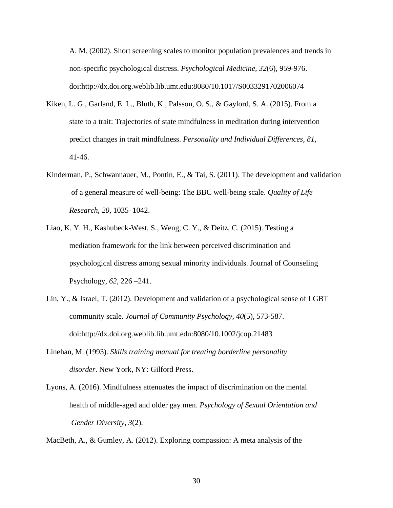A. M. (2002). Short screening scales to monitor population prevalences and trends in non-specific psychological distress. *Psychological Medicine, 32*(6), 959-976. doi:http://dx.doi.org.weblib.lib.umt.edu:8080/10.1017/S0033291702006074

- Kiken, L. G., Garland, E. L., Bluth, K., Palsson, O. S., & Gaylord, S. A. (2015). From a state to a trait: Trajectories of state mindfulness in meditation during intervention predict changes in trait mindfulness. *Personality and Individual Differences, 81*, 41-46.
- Kinderman, P., Schwannauer, M., Pontin, E., & Tai, S. (2011). The development and validation of a general measure of well-being: The BBC well-being scale. *Quality of Life Research*, *20*, 1035–1042.
- Liao, K. Y. H., Kashubeck-West, S., Weng, C. Y., & Deitz, C. (2015). Testing a mediation framework for the link between perceived discrimination and psychological distress among sexual minority individuals. Journal of Counseling Psychology, *62*, 226 –241.
- Lin, Y., & Israel, T. (2012). Development and validation of a psychological sense of LGBT community scale. *Journal of Community Psychology, 40*(5), 573-587. doi:http://dx.doi.org.weblib.lib.umt.edu:8080/10.1002/jcop.21483
- Linehan, M. (1993). *Skills training manual for treating borderline personality disorder*. New York, NY: Gilford Press.
- Lyons, A. (2016). Mindfulness attenuates the impact of discrimination on the mental health of middle-aged and older gay men. *Psychology of Sexual Orientation and Gender Diversity, 3*(2).

MacBeth, A., & Gumley, A. (2012). Exploring compassion: A meta analysis of the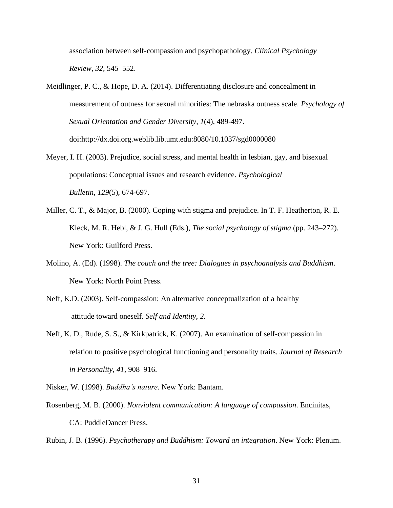association between self-compassion and psychopathology. *Clinical Psychology Review*, *32*, 545–552.

- Meidlinger, P. C., & Hope, D. A. (2014). Differentiating disclosure and concealment in measurement of outness for sexual minorities: The nebraska outness scale. *Psychology of Sexual Orientation and Gender Diversity, 1*(4), 489-497. doi:http://dx.doi.org.weblib.lib.umt.edu:8080/10.1037/sgd0000080
- Meyer, I. H. (2003). Prejudice, social stress, and mental health in lesbian, gay, and bisexual populations: Conceptual issues and research evidence. *Psychological Bulletin, 129*(5), 674-697.
- Miller, C. T., & Major, B. (2000). Coping with stigma and prejudice. In T. F. Heatherton, R. E. Kleck, M. R. Hebl, & J. G. Hull (Eds.), *The social psychology of stigma* (pp. 243–272). New York: Guilford Press.
- Molino, A. (Ed). (1998). *The couch and the tree: Dialogues in psychoanalysis and Buddhism*. New York: North Point Press.
- Neff, K.D. (2003). Self-compassion: An alternative conceptualization of a healthy attitude toward oneself. *Self and Identity*, *2*.
- Neff, K. D., Rude, S. S., & Kirkpatrick, K. (2007). An examination of self-compassion in relation to positive psychological functioning and personality traits. *Journal of Research in Personality*, *41*, 908–916.
- Nisker, W. (1998). *Buddha's nature*. New York: Bantam.
- Rosenberg, M. B. (2000). *Nonviolent communication: A language of compassion*. Encinitas, CA: PuddleDancer Press.

Rubin, J. B. (1996). *Psychotherapy and Buddhism: Toward an integration*. New York: Plenum.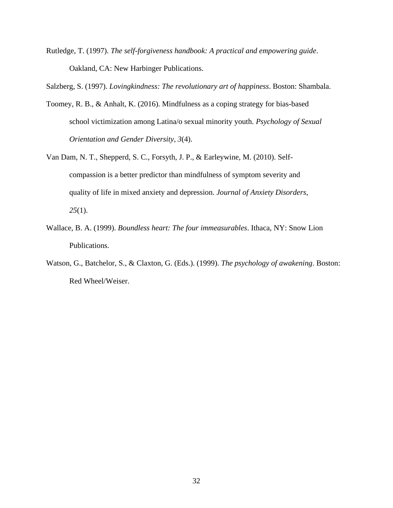Rutledge, T. (1997). *The self-forgiveness handbook: A practical and empowering guide*. Oakland, CA: New Harbinger Publications.

Salzberg, S. (1997). *Lovingkindness: The revolutionary art of happiness*. Boston: Shambala.

- Toomey, R. B., & Anhalt, K. (2016). Mindfulness as a coping strategy for bias-based school victimization among Latina/o sexual minority youth. *Psychology of Sexual Orientation and Gender Diversity, 3*(4).
- Van Dam, N. T., Shepperd, S. C., Forsyth, J. P., & Earleywine, M. (2010). Selfcompassion is a better predictor than mindfulness of symptom severity and quality of life in mixed anxiety and depression. *Journal of Anxiety Disorders*, *25*(1).
- Wallace, B. A. (1999). *Boundless heart: The four immeasurables*. Ithaca, NY: Snow Lion Publications.
- Watson, G., Batchelor, S., & Claxton, G. (Eds.). (1999). *The psychology of awakening*. Boston: Red Wheel/Weiser.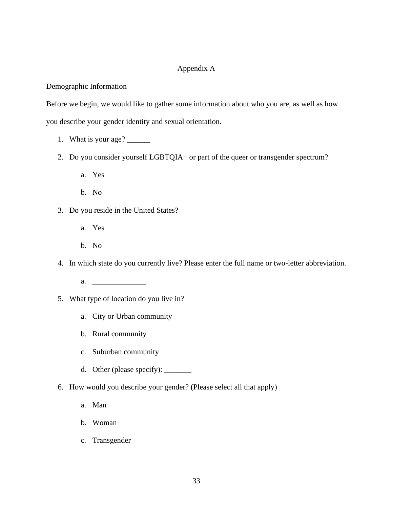### Appendix A

### Demographic Information

Before we begin, we would like to gather some information about who you are, as well as how

you describe your gender identity and sexual orientation.

- 1. What is your age? \_\_\_\_\_\_\_\_
- 2. Do you consider yourself LGBTQIA+ or part of the queer or transgender spectrum?
	- a. Yes
	- b. No
- 3. Do you reside in the United States?
	- a. Yes
	- b. No
- 4. In which state do you currently live? Please enter the full name or two-letter abbreviation.
	- a.  $\qquad \qquad$
- 5. What type of location do you live in?
	- a. City or Urban community
	- b. Rural community
	- c. Suburban community
	- d. Other (please specify): \_\_\_\_\_\_\_
- 6. How would you describe your gender? (Please select all that apply)
	- a. Man
	- b. Woman
	- c. Transgender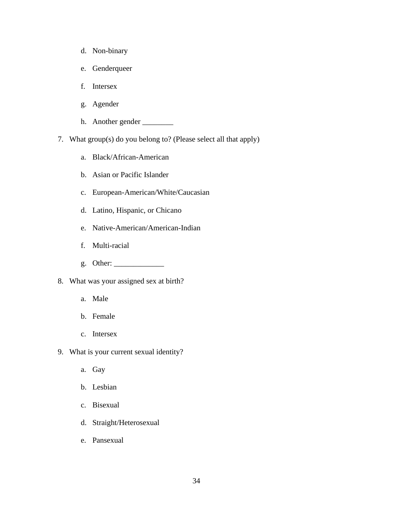- d. Non-binary
- e. Genderqueer
- f. Intersex
- g. Agender
- h. Another gender \_\_\_\_\_\_\_\_\_\_
- 7. What group(s) do you belong to? (Please select all that apply)
	- a. Black/African-American
	- b. Asian or Pacific Islander
	- c. European-American/White/Caucasian
	- d. Latino, Hispanic, or Chicano
	- e. Native-American/American-Indian
	- f. Multi-racial
	- g. Other: \_\_\_\_\_\_\_\_\_\_\_\_\_
- 8. What was your assigned sex at birth?
	- a. Male
	- b. Female
	- c. Intersex
- 9. What is your current sexual identity?
	- a. Gay
	- b. Lesbian
	- c. Bisexual
	- d. Straight/Heterosexual
	- e. Pansexual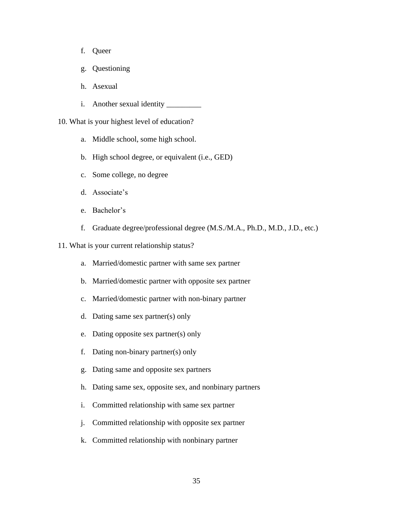- f. Queer
- g. Questioning
- h. Asexual
- i. Another sexual identity
- 10. What is your highest level of education?
	- a. Middle school, some high school.
	- b. High school degree, or equivalent (i.e., GED)
	- c. Some college, no degree
	- d. Associate's
	- e. Bachelor's
	- f. Graduate degree/professional degree (M.S./M.A., Ph.D., M.D., J.D., etc.)
- 11. What is your current relationship status?
	- a. Married/domestic partner with same sex partner
	- b. Married/domestic partner with opposite sex partner
	- c. Married/domestic partner with non-binary partner
	- d. Dating same sex partner(s) only
	- e. Dating opposite sex partner(s) only
	- f. Dating non-binary partner(s) only
	- g. Dating same and opposite sex partners
	- h. Dating same sex, opposite sex, and nonbinary partners
	- i. Committed relationship with same sex partner
	- j. Committed relationship with opposite sex partner
	- k. Committed relationship with nonbinary partner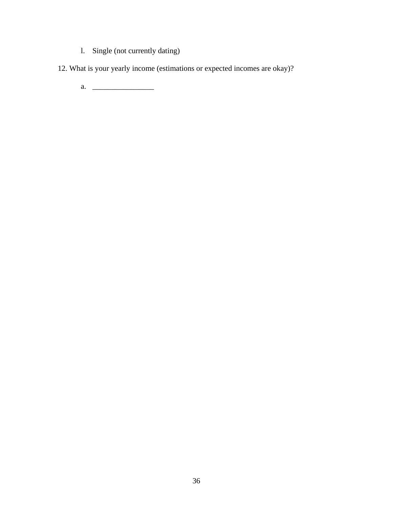- l. Single (not currently dating)
- 12. What is your yearly income (estimations or expected incomes are okay)?
	- a. \_\_\_\_\_\_\_\_\_\_\_\_\_\_\_\_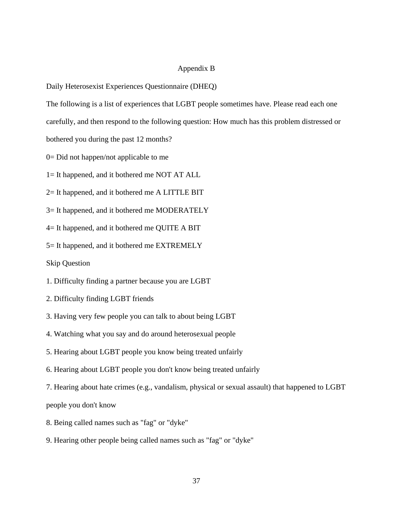### Appendix B

Daily Heterosexist Experiences Questionnaire (DHEQ)

The following is a list of experiences that LGBT people sometimes have. Please read each one

carefully, and then respond to the following question: How much has this problem distressed or

bothered you during the past 12 months?

0= Did not happen/not applicable to me

1= It happened, and it bothered me NOT AT ALL

2= It happened, and it bothered me A LITTLE BIT

3= It happened, and it bothered me MODERATELY

4= It happened, and it bothered me QUITE A BIT

5= It happened, and it bothered me EXTREMELY

Skip Question

1. Difficulty finding a partner because you are LGBT

2. Difficulty finding LGBT friends

3. Having very few people you can talk to about being LGBT

4. Watching what you say and do around heterosexual people

5. Hearing about LGBT people you know being treated unfairly

6. Hearing about LGBT people you don't know being treated unfairly

7. Hearing about hate crimes (e.g., vandalism, physical or sexual assault) that happened to LGBT people you don't know

8. Being called names such as "fag" or "dyke"

9. Hearing other people being called names such as "fag" or "dyke"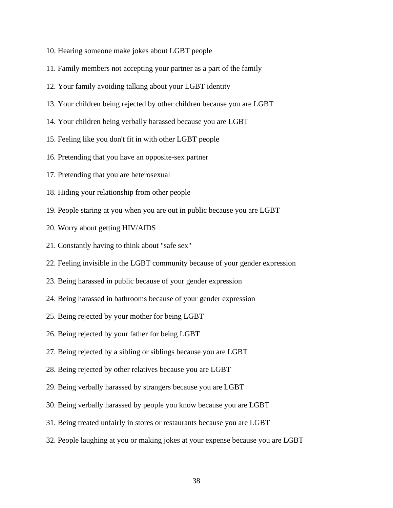- 10. Hearing someone make jokes about LGBT people
- 11. Family members not accepting your partner as a part of the family
- 12. Your family avoiding talking about your LGBT identity
- 13. Your children being rejected by other children because you are LGBT
- 14. Your children being verbally harassed because you are LGBT
- 15. Feeling like you don't fit in with other LGBT people
- 16. Pretending that you have an opposite-sex partner
- 17. Pretending that you are heterosexual
- 18. Hiding your relationship from other people
- 19. People staring at you when you are out in public because you are LGBT
- 20. Worry about getting HIV/AIDS
- 21. Constantly having to think about "safe sex"
- 22. Feeling invisible in the LGBT community because of your gender expression
- 23. Being harassed in public because of your gender expression
- 24. Being harassed in bathrooms because of your gender expression
- 25. Being rejected by your mother for being LGBT
- 26. Being rejected by your father for being LGBT
- 27. Being rejected by a sibling or siblings because you are LGBT
- 28. Being rejected by other relatives because you are LGBT
- 29. Being verbally harassed by strangers because you are LGBT
- 30. Being verbally harassed by people you know because you are LGBT
- 31. Being treated unfairly in stores or restaurants because you are LGBT
- 32. People laughing at you or making jokes at your expense because you are LGBT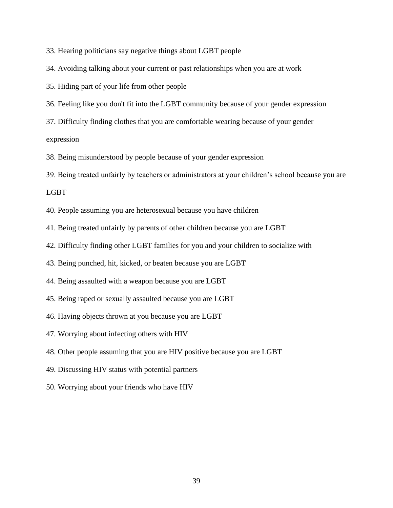33. Hearing politicians say negative things about LGBT people

34. Avoiding talking about your current or past relationships when you are at work

35. Hiding part of your life from other people

36. Feeling like you don't fit into the LGBT community because of your gender expression

37. Difficulty finding clothes that you are comfortable wearing because of your gender expression

38. Being misunderstood by people because of your gender expression

39. Being treated unfairly by teachers or administrators at your children's school because you are LGBT

40. People assuming you are heterosexual because you have children

41. Being treated unfairly by parents of other children because you are LGBT

42. Difficulty finding other LGBT families for you and your children to socialize with

43. Being punched, hit, kicked, or beaten because you are LGBT

44. Being assaulted with a weapon because you are LGBT

45. Being raped or sexually assaulted because you are LGBT

46. Having objects thrown at you because you are LGBT

47. Worrying about infecting others with HIV

48. Other people assuming that you are HIV positive because you are LGBT

49. Discussing HIV status with potential partners

50. Worrying about your friends who have HIV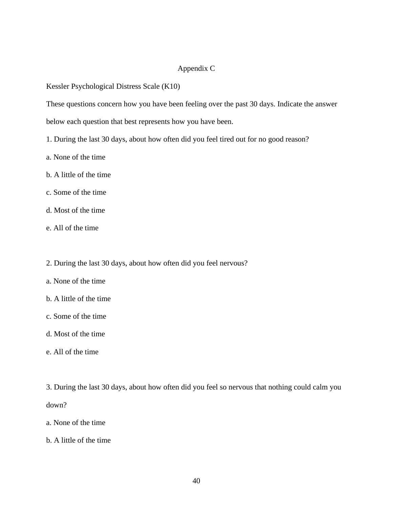### Appendix C

Kessler Psychological Distress Scale (K10)

These questions concern how you have been feeling over the past 30 days. Indicate the answer

below each question that best represents how you have been.

- 1. During the last 30 days, about how often did you feel tired out for no good reason?
- a. None of the time
- b. A little of the time
- c. Some of the time
- d. Most of the time
- e. All of the time
- 2. During the last 30 days, about how often did you feel nervous?
- a. None of the time
- b. A little of the time
- c. Some of the time
- d. Most of the time
- e. All of the time
- 3. During the last 30 days, about how often did you feel so nervous that nothing could calm you down?
- a. None of the time
- b. A little of the time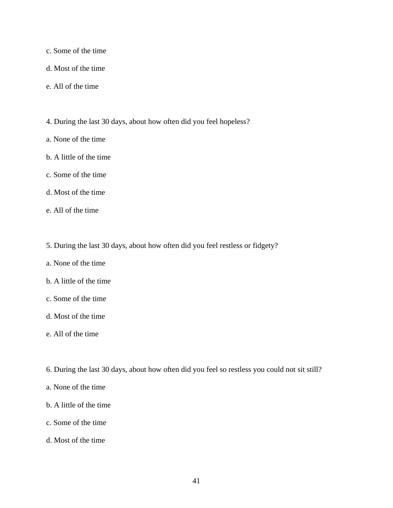- c. Some of the time
- d. Most of the time
- e. All of the time
- 4. During the last 30 days, about how often did you feel hopeless?
- a. None of the time
- b. A little of the time
- c. Some of the time
- d. Most of the time
- e. All of the time
- 5. During the last 30 days, about how often did you feel restless or fidgety?
- a. None of the time
- b. A little of the time
- c. Some of the time
- d. Most of the time
- e. All of the time
- 6. During the last 30 days, about how often did you feel so restless you could not sit still?
- a. None of the time
- b. A little of the time
- c. Some of the time
- d. Most of the time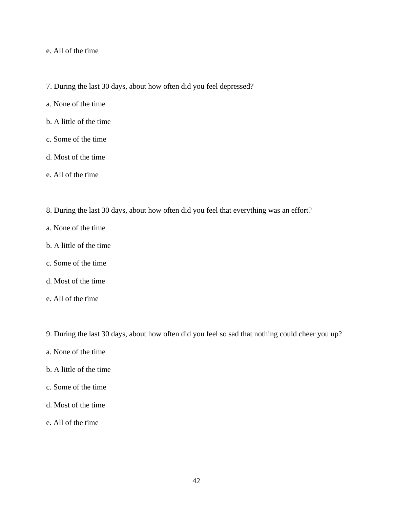### e. All of the time

- 7. During the last 30 days, about how often did you feel depressed?
- a. None of the time
- b. A little of the time
- c. Some of the time
- d. Most of the time
- e. All of the time
- 8. During the last 30 days, about how often did you feel that everything was an effort?
- a. None of the time
- b. A little of the time
- c. Some of the time
- d. Most of the time
- e. All of the time
- 9. During the last 30 days, about how often did you feel so sad that nothing could cheer you up?
- a. None of the time
- b. A little of the time
- c. Some of the time
- d. Most of the time
- e. All of the time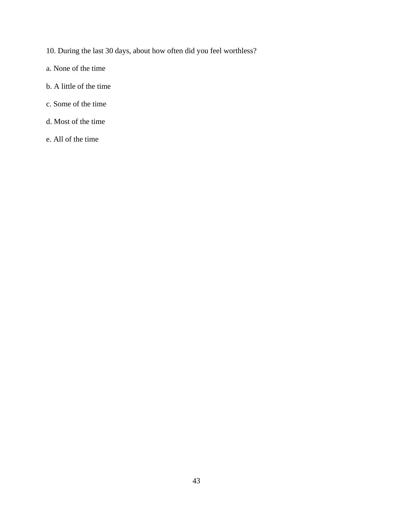- 10. During the last 30 days, about how often did you feel worthless?
- a. None of the time
- b. A little of the time
- c. Some of the time
- d. Most of the time
- e. All of the time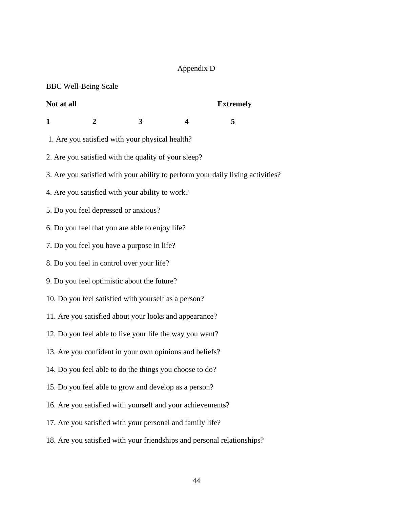# Appendix D

|                                                            | <b>BBC Well-Being Scale</b>                               |   |                         |                                                                                 |  |  |  |  |
|------------------------------------------------------------|-----------------------------------------------------------|---|-------------------------|---------------------------------------------------------------------------------|--|--|--|--|
| Not at all                                                 |                                                           |   |                         | <b>Extremely</b>                                                                |  |  |  |  |
| $\mathbf{1}$                                               | $\overline{2}$                                            | 3 | $\overline{\mathbf{4}}$ | 5                                                                               |  |  |  |  |
|                                                            | 1. Are you satisfied with your physical health?           |   |                         |                                                                                 |  |  |  |  |
|                                                            | 2. Are you satisfied with the quality of your sleep?      |   |                         |                                                                                 |  |  |  |  |
|                                                            |                                                           |   |                         | 3. Are you satisfied with your ability to perform your daily living activities? |  |  |  |  |
|                                                            | 4. Are you satisfied with your ability to work?           |   |                         |                                                                                 |  |  |  |  |
|                                                            | 5. Do you feel depressed or anxious?                      |   |                         |                                                                                 |  |  |  |  |
|                                                            | 6. Do you feel that you are able to enjoy life?           |   |                         |                                                                                 |  |  |  |  |
|                                                            | 7. Do you feel you have a purpose in life?                |   |                         |                                                                                 |  |  |  |  |
|                                                            | 8. Do you feel in control over your life?                 |   |                         |                                                                                 |  |  |  |  |
|                                                            | 9. Do you feel optimistic about the future?               |   |                         |                                                                                 |  |  |  |  |
|                                                            | 10. Do you feel satisfied with yourself as a person?      |   |                         |                                                                                 |  |  |  |  |
|                                                            | 11. Are you satisfied about your looks and appearance?    |   |                         |                                                                                 |  |  |  |  |
|                                                            | 12. Do you feel able to live your life the way you want?  |   |                         |                                                                                 |  |  |  |  |
|                                                            | 13. Are you confident in your own opinions and beliefs?   |   |                         |                                                                                 |  |  |  |  |
| 14. Do you feel able to do the things you choose to do?    |                                                           |   |                         |                                                                                 |  |  |  |  |
| 15. Do you feel able to grow and develop as a person?      |                                                           |   |                         |                                                                                 |  |  |  |  |
| 16. Are you satisfied with yourself and your achievements? |                                                           |   |                         |                                                                                 |  |  |  |  |
|                                                            | 17. Are you satisfied with your personal and family life? |   |                         |                                                                                 |  |  |  |  |
|                                                            |                                                           |   |                         | 18. Are you satisfied with your friendships and personal relationships?         |  |  |  |  |
|                                                            |                                                           |   |                         |                                                                                 |  |  |  |  |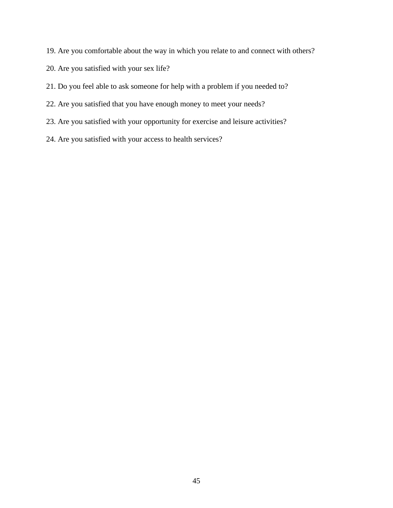- 19. Are you comfortable about the way in which you relate to and connect with others?
- 20. Are you satisfied with your sex life?
- 21. Do you feel able to ask someone for help with a problem if you needed to?
- 22. Are you satisfied that you have enough money to meet your needs?
- 23. Are you satisfied with your opportunity for exercise and leisure activities?
- 24. Are you satisfied with your access to health services?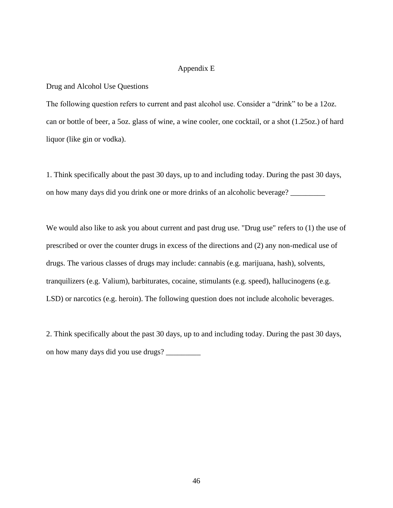### Appendix E

#### Drug and Alcohol Use Questions

The following question refers to current and past alcohol use. Consider a "drink" to be a 12oz. can or bottle of beer, a 5oz. glass of wine, a wine cooler, one cocktail, or a shot (1.25oz.) of hard liquor (like gin or vodka).

1. Think specifically about the past 30 days, up to and including today. During the past 30 days, on how many days did you drink one or more drinks of an alcoholic beverage?

We would also like to ask you about current and past drug use. "Drug use" refers to (1) the use of prescribed or over the counter drugs in excess of the directions and (2) any non-medical use of drugs. The various classes of drugs may include: cannabis (e.g. marijuana, hash), solvents, tranquilizers (e.g. Valium), barbiturates, cocaine, stimulants (e.g. speed), hallucinogens (e.g. LSD) or narcotics (e.g. heroin). The following question does not include alcoholic beverages.

2. Think specifically about the past 30 days, up to and including today. During the past 30 days, on how many days did you use drugs? \_\_\_\_\_\_\_\_\_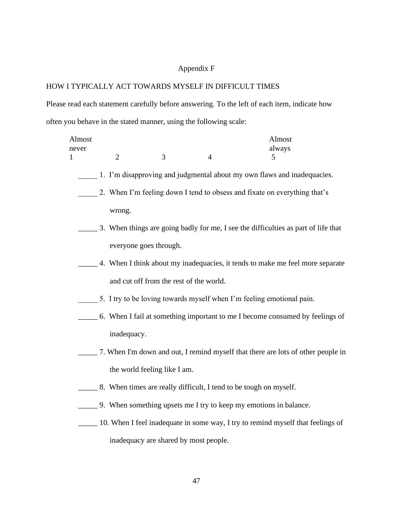# Appendix F

## HOW I TYPICALLY ACT TOWARDS MYSELF IN DIFFICULT TIMES

Please read each statement carefully before answering. To the left of each item, indicate how often you behave in the stated manner, using the following scale:

| Almost<br>never |                |                                                                           |                | Almost<br>always                                                                    |  |  |  |  |  |  |
|-----------------|----------------|---------------------------------------------------------------------------|----------------|-------------------------------------------------------------------------------------|--|--|--|--|--|--|
| 1               | $\overline{2}$ | 3                                                                         | $\overline{4}$ | 5                                                                                   |  |  |  |  |  |  |
|                 |                | 1. I'm disapproving and judgmental about my own flaws and inadequacies.   |                |                                                                                     |  |  |  |  |  |  |
|                 |                | 2. When I'm feeling down I tend to obsess and fixate on everything that's |                |                                                                                     |  |  |  |  |  |  |
|                 | wrong.         |                                                                           |                |                                                                                     |  |  |  |  |  |  |
|                 |                |                                                                           |                | 3. When things are going badly for me, I see the difficulties as part of life that  |  |  |  |  |  |  |
|                 |                | everyone goes through.                                                    |                |                                                                                     |  |  |  |  |  |  |
|                 |                |                                                                           |                | 4. When I think about my inadequacies, it tends to make me feel more separate       |  |  |  |  |  |  |
|                 |                | and cut off from the rest of the world.                                   |                |                                                                                     |  |  |  |  |  |  |
|                 |                |                                                                           |                | 5. I try to be loving towards myself when I'm feeling emotional pain.               |  |  |  |  |  |  |
|                 |                |                                                                           |                | ______ 6. When I fail at something important to me I become consumed by feelings of |  |  |  |  |  |  |
|                 | inadequacy.    |                                                                           |                |                                                                                     |  |  |  |  |  |  |
|                 |                |                                                                           |                | 7. When I'm down and out, I remind myself that there are lots of other people in    |  |  |  |  |  |  |
|                 |                | the world feeling like I am.                                              |                |                                                                                     |  |  |  |  |  |  |
|                 |                |                                                                           |                | 2018. When times are really difficult, I tend to be tough on myself.                |  |  |  |  |  |  |
|                 |                |                                                                           |                | 1. 9. When something upsets me I try to keep my emotions in balance.                |  |  |  |  |  |  |
|                 |                |                                                                           |                | 10. When I feel inadequate in some way, I try to remind myself that feelings of     |  |  |  |  |  |  |
|                 |                | inadequacy are shared by most people.                                     |                |                                                                                     |  |  |  |  |  |  |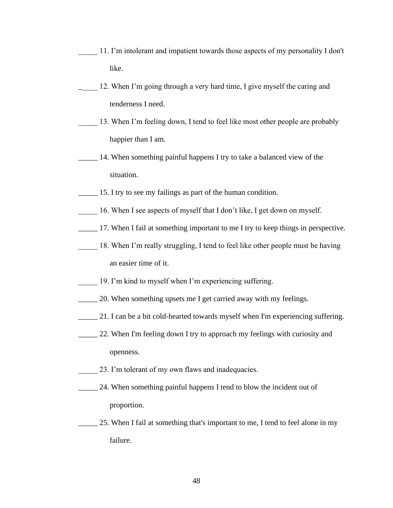- 11. I'm intolerant and impatient towards those aspects of my personality I don't like.
- 12. When I'm going through a very hard time, I give myself the caring and tenderness I need.
- 13. When I'm feeling down, I tend to feel like most other people are probably happier than I am.
- **14.** When something painful happens I try to take a balanced view of the situation.
- 15. I try to see my failings as part of the human condition.
- 16. When I see aspects of myself that I don't like, I get down on myself.
- \_\_\_\_\_ 17. When I fail at something important to me I try to keep things in perspective.
- 18. When I'm really struggling, I tend to feel like other people must be having an easier time of it.
- 19. I'm kind to myself when I'm experiencing suffering.
- 20. When something upsets me I get carried away with my feelings.
- \_\_\_\_\_ 21. I can be a bit cold-hearted towards myself when I'm experiencing suffering.
- 22. When I'm feeling down I try to approach my feelings with curiosity and openness.
- 23. I'm tolerant of my own flaws and inadequacies.
- 24. When something painful happens I tend to blow the incident out of proportion.
- 25. When I fail at something that's important to me, I tend to feel alone in my failure.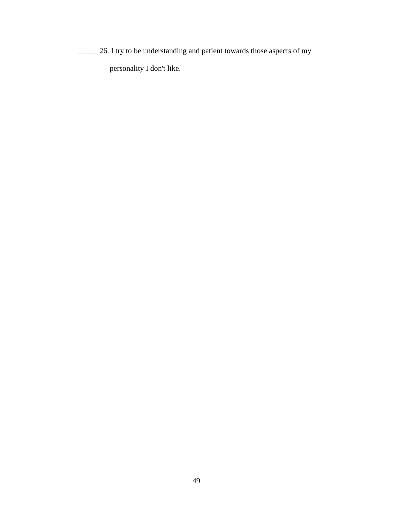\_\_\_\_\_ 26. I try to be understanding and patient towards those aspects of my personality I don't like.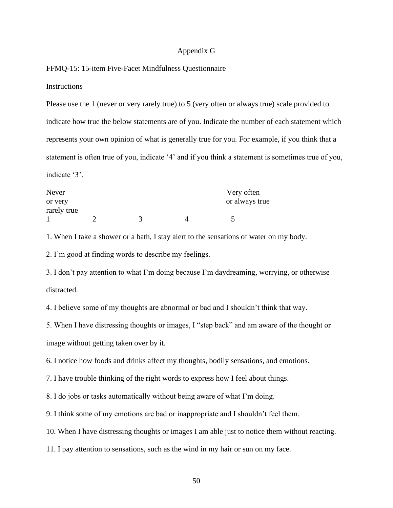#### Appendix G

### FFMQ-15: 15-item Five-Facet Mindfulness Questionnaire

#### **Instructions**

Please use the 1 (never or very rarely true) to 5 (very often or always true) scale provided to indicate how true the below statements are of you. Indicate the number of each statement which represents your own opinion of what is generally true for you. For example, if you think that a statement is often true of you, indicate '4' and if you think a statement is sometimes true of you, indicate '3'.

| Never       |  | Very often     |
|-------------|--|----------------|
| or very     |  | or always true |
| rarely true |  |                |
|             |  |                |

1. When I take a shower or a bath, I stay alert to the sensations of water on my body.

2. I'm good at finding words to describe my feelings.

3. I don't pay attention to what I'm doing because I'm daydreaming, worrying, or otherwise distracted.

4. I believe some of my thoughts are abnormal or bad and I shouldn't think that way.

5. When I have distressing thoughts or images, I "step back" and am aware of the thought or image without getting taken over by it.

6. I notice how foods and drinks affect my thoughts, bodily sensations, and emotions.

7. I have trouble thinking of the right words to express how I feel about things.

8. I do jobs or tasks automatically without being aware of what I'm doing.

9. I think some of my emotions are bad or inappropriate and I shouldn't feel them.

10. When I have distressing thoughts or images I am able just to notice them without reacting.

11. I pay attention to sensations, such as the wind in my hair or sun on my face.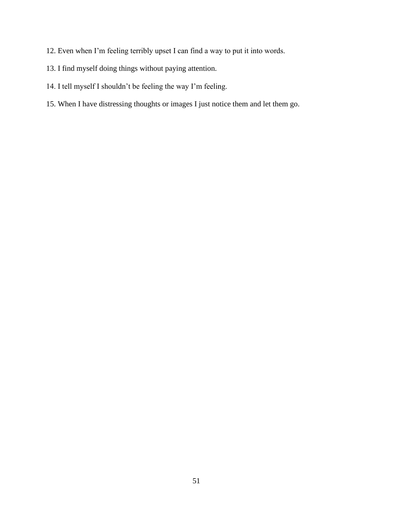- 12. Even when I'm feeling terribly upset I can find a way to put it into words.
- 13. I find myself doing things without paying attention.
- 14. I tell myself I shouldn't be feeling the way I'm feeling.
- 15. When I have distressing thoughts or images I just notice them and let them go.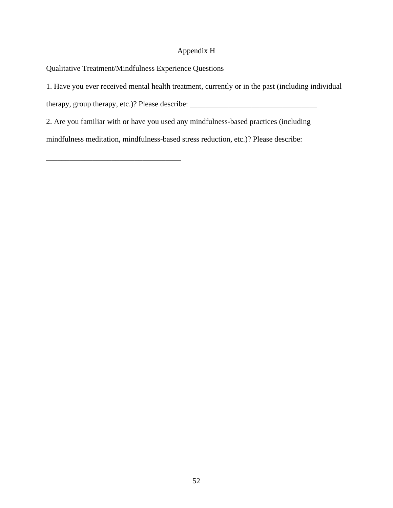### Appendix H

Qualitative Treatment/Mindfulness Experience Questions

\_\_\_\_\_\_\_\_\_\_\_\_\_\_\_\_\_\_\_\_\_\_\_\_\_\_\_\_\_\_\_\_\_\_\_

1. Have you ever received mental health treatment, currently or in the past (including individual

therapy, group therapy, etc.)? Please describe:  $\frac{1}{\sqrt{1-\frac{1}{2}}}\left\{ \frac{1}{2}, \frac{1}{2}, \frac{1}{2}, \frac{1}{2}, \frac{1}{2}, \frac{1}{2}, \frac{1}{2}, \frac{1}{2}, \frac{1}{2}, \frac{1}{2}, \frac{1}{2}, \frac{1}{2}, \frac{1}{2}, \frac{1}{2}, \frac{1}{2}, \frac{1}{2}, \frac{1}{2}, \frac{1}{2}, \frac{1}{2}, \frac{1}{2}, \frac{1}{2}, \frac{1}{$ 

2. Are you familiar with or have you used any mindfulness-based practices (including

mindfulness meditation, mindfulness-based stress reduction, etc.)? Please describe: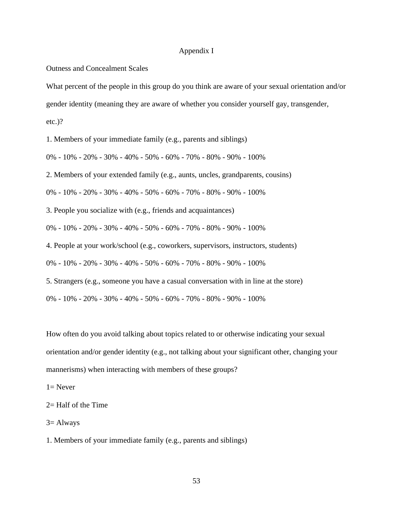#### Appendix I

Outness and Concealment Scales

What percent of the people in this group do you think are aware of your sexual orientation and/or

gender identity (meaning they are aware of whether you consider yourself gay, transgender,

etc.)?

1. Members of your immediate family (e.g., parents and siblings)

0% - 10% - 20% - 30% - 40% - 50% - 60% - 70% - 80% - 90% - 100%

2. Members of your extended family (e.g., aunts, uncles, grandparents, cousins)

0% - 10% - 20% - 30% - 40% - 50% - 60% - 70% - 80% - 90% - 100%

3. People you socialize with (e.g., friends and acquaintances)

0% - 10% - 20% - 30% - 40% - 50% - 60% - 70% - 80% - 90% - 100%

4. People at your work/school (e.g., coworkers, supervisors, instructors, students)

0% - 10% - 20% - 30% - 40% - 50% - 60% - 70% - 80% - 90% - 100%

5. Strangers (e.g., someone you have a casual conversation with in line at the store)

0% - 10% - 20% - 30% - 40% - 50% - 60% - 70% - 80% - 90% - 100%

How often do you avoid talking about topics related to or otherwise indicating your sexual orientation and/or gender identity (e.g., not talking about your significant other, changing your mannerisms) when interacting with members of these groups?

 $1=$  Never

3= Always

1. Members of your immediate family (e.g., parents and siblings)

<sup>2=</sup> Half of the Time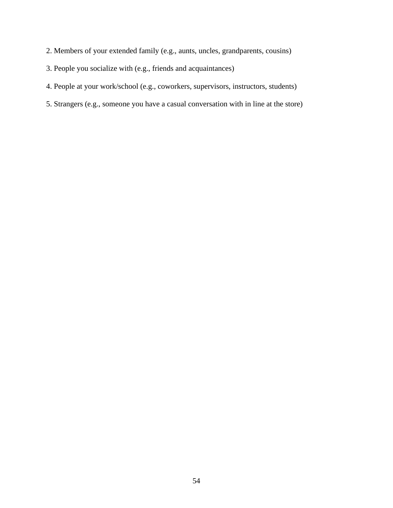- 2. Members of your extended family (e.g., aunts, uncles, grandparents, cousins)
- 3. People you socialize with (e.g., friends and acquaintances)
- 4. People at your work/school (e.g., coworkers, supervisors, instructors, students)
- 5. Strangers (e.g., someone you have a casual conversation with in line at the store)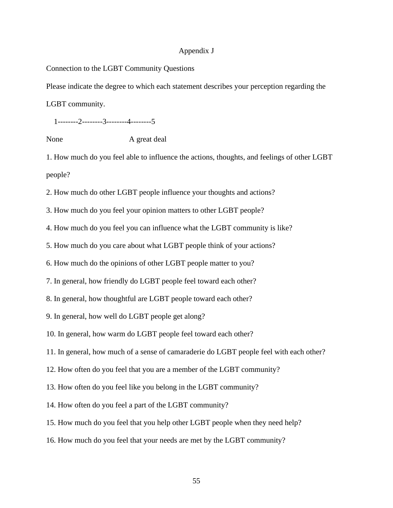### Appendix J

### Connection to the LGBT Community Questions

Please indicate the degree to which each statement describes your perception regarding the

LGBT community.

1--------2--------3--------4--------5

None A great deal

1. How much do you feel able to influence the actions, thoughts, and feelings of other LGBT people?

2. How much do other LGBT people influence your thoughts and actions?

3. How much do you feel your opinion matters to other LGBT people?

4. How much do you feel you can influence what the LGBT community is like?

5. How much do you care about what LGBT people think of your actions?

6. How much do the opinions of other LGBT people matter to you?

7. In general, how friendly do LGBT people feel toward each other?

8. In general, how thoughtful are LGBT people toward each other?

9. In general, how well do LGBT people get along?

10. In general, how warm do LGBT people feel toward each other?

11. In general, how much of a sense of camaraderie do LGBT people feel with each other?

12. How often do you feel that you are a member of the LGBT community?

13. How often do you feel like you belong in the LGBT community?

14. How often do you feel a part of the LGBT community?

15. How much do you feel that you help other LGBT people when they need help?

16. How much do you feel that your needs are met by the LGBT community?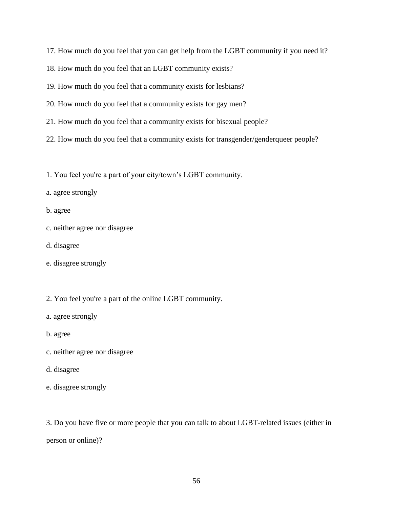17. How much do you feel that you can get help from the LGBT community if you need it?

18. How much do you feel that an LGBT community exists?

19. How much do you feel that a community exists for lesbians?

20. How much do you feel that a community exists for gay men?

21. How much do you feel that a community exists for bisexual people?

22. How much do you feel that a community exists for transgender/genderqueer people?

1. You feel you're a part of your city/town's LGBT community.

a. agree strongly

b. agree

- c. neither agree nor disagree
- d. disagree
- e. disagree strongly

2. You feel you're a part of the online LGBT community.

a. agree strongly

b. agree

c. neither agree nor disagree

### d. disagree

e. disagree strongly

3. Do you have five or more people that you can talk to about LGBT-related issues (either in person or online)?